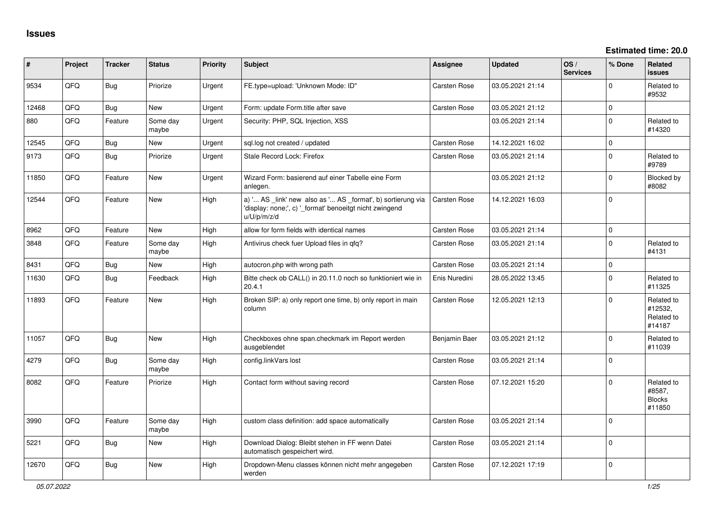| #     | Project | <b>Tracker</b> | <b>Status</b>     | <b>Priority</b> | <b>Subject</b>                                                                                                                        | Assignee            | <b>Updated</b>   | OS/<br><b>Services</b> | % Done       | Related<br><b>issues</b>                        |
|-------|---------|----------------|-------------------|-----------------|---------------------------------------------------------------------------------------------------------------------------------------|---------------------|------------------|------------------------|--------------|-------------------------------------------------|
| 9534  | QFQ     | Bug            | Priorize          | Urgent          | FE.type=upload: 'Unknown Mode: ID"                                                                                                    | <b>Carsten Rose</b> | 03.05.2021 21:14 |                        | 0            | Related to<br>#9532                             |
| 12468 | QFQ     | Bug            | New               | Urgent          | Form: update Form.title after save                                                                                                    | <b>Carsten Rose</b> | 03.05.2021 21:12 |                        | 0            |                                                 |
| 880   | QFQ     | Feature        | Some day<br>maybe | Urgent          | Security: PHP, SQL Injection, XSS                                                                                                     |                     | 03.05.2021 21:14 |                        | $\mathbf{0}$ | Related to<br>#14320                            |
| 12545 | QFQ     | <b>Bug</b>     | New               | Urgent          | sql.log not created / updated                                                                                                         | Carsten Rose        | 14.12.2021 16:02 |                        | $\mathsf{O}$ |                                                 |
| 9173  | QFQ     | Bug            | Priorize          | Urgent          | Stale Record Lock: Firefox                                                                                                            | Carsten Rose        | 03.05.2021 21:14 |                        | $\mathbf 0$  | Related to<br>#9789                             |
| 11850 | QFQ     | Feature        | <b>New</b>        | Urgent          | Wizard Form: basierend auf einer Tabelle eine Form<br>anlegen.                                                                        |                     | 03.05.2021 21:12 |                        | $\Omega$     | Blocked by<br>#8082                             |
| 12544 | QFQ     | Feature        | <b>New</b>        | High            | a) ' AS _link' new also as ' AS _format', b) sortierung via<br>'display: none;', c) '_format' benoeitgt nicht zwingend<br>u/U/p/m/z/d | <b>Carsten Rose</b> | 14.12.2021 16:03 |                        | $\mathbf 0$  |                                                 |
| 8962  | QFQ     | Feature        | <b>New</b>        | High            | allow for form fields with identical names                                                                                            | Carsten Rose        | 03.05.2021 21:14 |                        | $\mathbf{0}$ |                                                 |
| 3848  | QFQ     | Feature        | Some day<br>maybe | High            | Antivirus check fuer Upload files in gfg?                                                                                             | Carsten Rose        | 03.05.2021 21:14 |                        | $\Omega$     | Related to<br>#4131                             |
| 8431  | QFQ     | <b>Bug</b>     | <b>New</b>        | High            | autocron.php with wrong path                                                                                                          | <b>Carsten Rose</b> | 03.05.2021 21:14 |                        | $\mathbf 0$  |                                                 |
| 11630 | QFQ     | Bug            | Feedback          | High            | Bitte check ob CALL() in 20.11.0 noch so funktioniert wie in<br>20.4.1                                                                | Enis Nuredini       | 28.05.2022 13:45 |                        | $\mathbf 0$  | Related to<br>#11325                            |
| 11893 | QFQ     | Feature        | <b>New</b>        | High            | Broken SIP: a) only report one time, b) only report in main<br>column                                                                 | Carsten Rose        | 12.05.2021 12:13 |                        | $\Omega$     | Related to<br>#12532.<br>Related to<br>#14187   |
| 11057 | QFQ     | <b>Bug</b>     | <b>New</b>        | High            | Checkboxes ohne span.checkmark im Report werden<br>ausgeblendet                                                                       | Benjamin Baer       | 03.05.2021 21:12 |                        | 0            | Related to<br>#11039                            |
| 4279  | QFQ     | Bug            | Some day<br>maybe | High            | config.linkVars lost                                                                                                                  | <b>Carsten Rose</b> | 03.05.2021 21:14 |                        | $\mathbf 0$  |                                                 |
| 8082  | QFQ     | Feature        | Priorize          | High            | Contact form without saving record                                                                                                    | <b>Carsten Rose</b> | 07.12.2021 15:20 |                        | $\mathbf 0$  | Related to<br>#8587,<br><b>Blocks</b><br>#11850 |
| 3990  | QFQ     | Feature        | Some day<br>maybe | High            | custom class definition: add space automatically                                                                                      | <b>Carsten Rose</b> | 03.05.2021 21:14 |                        | $\mathbf 0$  |                                                 |
| 5221  | QFQ     | Bug            | New               | High            | Download Dialog: Bleibt stehen in FF wenn Datei<br>automatisch gespeichert wird.                                                      | <b>Carsten Rose</b> | 03.05.2021 21:14 |                        | 0            |                                                 |
| 12670 | QFQ     | <b>Bug</b>     | <b>New</b>        | High            | Dropdown-Menu classes können nicht mehr angegeben<br>werden                                                                           | Carsten Rose        | 07.12.2021 17:19 |                        | $\mathbf 0$  |                                                 |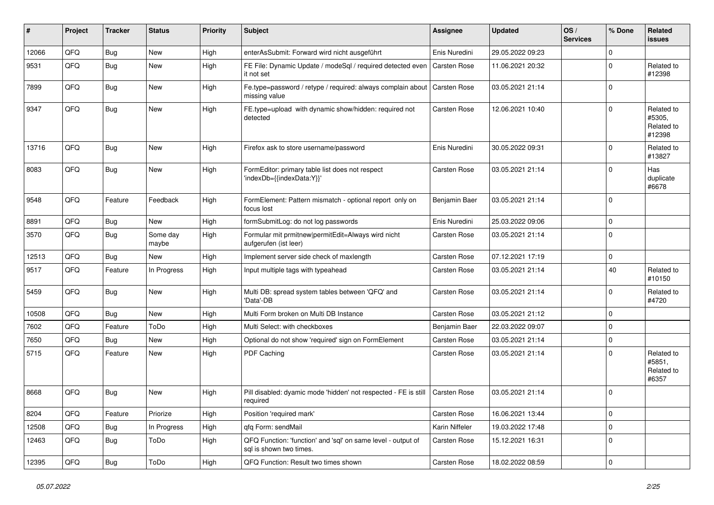| #     | Project | <b>Tracker</b> | <b>Status</b>     | <b>Priority</b> | Subject                                                                                 | Assignee            | <b>Updated</b>   | OS/<br><b>Services</b> | % Done       | Related<br>issues                            |
|-------|---------|----------------|-------------------|-----------------|-----------------------------------------------------------------------------------------|---------------------|------------------|------------------------|--------------|----------------------------------------------|
| 12066 | QFQ     | Bug            | New               | High            | enterAsSubmit: Forward wird nicht ausgeführt                                            | Enis Nuredini       | 29.05.2022 09:23 |                        | $\Omega$     |                                              |
| 9531  | QFQ     | Bug            | New               | High            | FE File: Dynamic Update / modeSql / required detected even<br>it not set                | <b>Carsten Rose</b> | 11.06.2021 20:32 |                        | $\Omega$     | Related to<br>#12398                         |
| 7899  | QFQ     | Bug            | New               | High            | Fe.type=password / retype / required: always complain about<br>missing value            | <b>Carsten Rose</b> | 03.05.2021 21:14 |                        | $\Omega$     |                                              |
| 9347  | QFQ     | Bug            | New               | High            | FE.type=upload with dynamic show/hidden: required not<br>detected                       | Carsten Rose        | 12.06.2021 10:40 |                        | $\Omega$     | Related to<br>#5305,<br>Related to<br>#12398 |
| 13716 | QFQ     | Bug            | <b>New</b>        | High            | Firefox ask to store username/password                                                  | Enis Nuredini       | 30.05.2022 09:31 |                        | $\Omega$     | Related to<br>#13827                         |
| 8083  | QFQ     | Bug            | New               | High            | FormEditor: primary table list does not respect<br>'indexDb={{indexData:Y}}'            | Carsten Rose        | 03.05.2021 21:14 |                        | $\Omega$     | Has<br>duplicate<br>#6678                    |
| 9548  | QFQ     | Feature        | Feedback          | High            | FormElement: Pattern mismatch - optional report only on<br>focus lost                   | Benjamin Baer       | 03.05.2021 21:14 |                        | $\Omega$     |                                              |
| 8891  | QFQ     | Bug            | New               | High            | formSubmitLog: do not log passwords                                                     | Enis Nuredini       | 25.03.2022 09:06 |                        | $\Omega$     |                                              |
| 3570  | QFQ     | Bug            | Some day<br>maybe | High            | Formular mit prmitnew permitEdit=Always wird nicht<br>aufgerufen (ist leer)             | <b>Carsten Rose</b> | 03.05.2021 21:14 |                        | $\Omega$     |                                              |
| 12513 | QFQ     | Bug            | New               | High            | Implement server side check of maxlength                                                | Carsten Rose        | 07.12.2021 17:19 |                        | $\mathbf 0$  |                                              |
| 9517  | QFQ     | Feature        | In Progress       | High            | Input multiple tags with typeahead                                                      | <b>Carsten Rose</b> | 03.05.2021 21:14 |                        | 40           | Related to<br>#10150                         |
| 5459  | QFQ     | Bug            | <b>New</b>        | High            | Multi DB: spread system tables between 'QFQ' and<br>'Data'-DB                           | Carsten Rose        | 03.05.2021 21:14 |                        | $\Omega$     | Related to<br>#4720                          |
| 10508 | QFQ     | Bug            | New               | High            | Multi Form broken on Multi DB Instance                                                  | Carsten Rose        | 03.05.2021 21:12 |                        | $\Omega$     |                                              |
| 7602  | QFQ     | Feature        | ToDo              | High            | Multi Select: with checkboxes                                                           | Benjamin Baer       | 22.03.2022 09:07 |                        | $\mathbf 0$  |                                              |
| 7650  | QFQ     | Bug            | New               | High            | Optional do not show 'required' sign on FormElement                                     | Carsten Rose        | 03.05.2021 21:14 |                        | $\mathbf 0$  |                                              |
| 5715  | QFQ     | Feature        | <b>New</b>        | High            | PDF Caching                                                                             | <b>Carsten Rose</b> | 03.05.2021 21:14 |                        | $\Omega$     | Related to<br>#5851,<br>Related to<br>#6357  |
| 8668  | QFQ     | Bug            | New               | High            | Pill disabled: dyamic mode 'hidden' not respected - FE is still<br>required             | <b>Carsten Rose</b> | 03.05.2021 21:14 |                        | $\Omega$     |                                              |
| 8204  | QFQ     | Feature        | Priorize          | High            | Position 'required mark'                                                                | Carsten Rose        | 16.06.2021 13:44 |                        | $\mathbf{0}$ |                                              |
| 12508 | QFQ     | Bug            | In Progress       | High            | qfq Form: sendMail                                                                      | Karin Niffeler      | 19.03.2022 17:48 |                        | $\mathbf 0$  |                                              |
| 12463 | QFQ     | <b>Bug</b>     | ToDo              | High            | QFQ Function: 'function' and 'sql' on same level - output of<br>sql is shown two times. | Carsten Rose        | 15.12.2021 16:31 |                        | $\mathbf{0}$ |                                              |
| 12395 | QFQ     | <b>Bug</b>     | ToDo              | High            | QFQ Function: Result two times shown                                                    | Carsten Rose        | 18.02.2022 08:59 |                        | $\mathbf 0$  |                                              |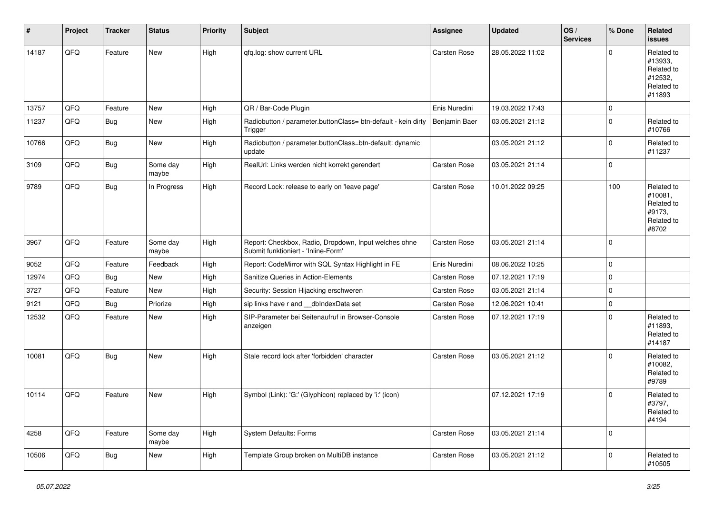| #     | Project | <b>Tracker</b> | <b>Status</b>     | <b>Priority</b> | Subject                                                                                      | <b>Assignee</b> | <b>Updated</b>   | OS/<br><b>Services</b> | % Done         | Related<br><b>issues</b>                                               |
|-------|---------|----------------|-------------------|-----------------|----------------------------------------------------------------------------------------------|-----------------|------------------|------------------------|----------------|------------------------------------------------------------------------|
| 14187 | QFQ     | Feature        | <b>New</b>        | High            | qfq.log: show current URL                                                                    | Carsten Rose    | 28.05.2022 11:02 |                        | $\mathbf 0$    | Related to<br>#13933,<br>Related to<br>#12532,<br>Related to<br>#11893 |
| 13757 | QFQ     | Feature        | <b>New</b>        | High            | QR / Bar-Code Plugin                                                                         | Enis Nuredini   | 19.03.2022 17:43 |                        | $\mathbf 0$    |                                                                        |
| 11237 | QFQ     | Bug            | New               | High            | Radiobutton / parameter.buttonClass= btn-default - kein dirty<br>Trigger                     | Benjamin Baer   | 03.05.2021 21:12 |                        | $\overline{0}$ | Related to<br>#10766                                                   |
| 10766 | QFQ     | Bug            | New               | High            | Radiobutton / parameter.buttonClass=btn-default: dynamic<br>update                           |                 | 03.05.2021 21:12 |                        | $\mathbf{0}$   | Related to<br>#11237                                                   |
| 3109  | QFQ     | Bug            | Some day<br>maybe | High            | RealUrl: Links werden nicht korrekt gerendert                                                | Carsten Rose    | 03.05.2021 21:14 |                        | $\mathbf 0$    |                                                                        |
| 9789  | QFQ     | Bug            | In Progress       | High            | Record Lock: release to early on 'leave page'                                                | Carsten Rose    | 10.01.2022 09:25 |                        | 100            | Related to<br>#10081,<br>Related to<br>#9173,<br>Related to<br>#8702   |
| 3967  | QFQ     | Feature        | Some day<br>maybe | High            | Report: Checkbox, Radio, Dropdown, Input welches ohne<br>Submit funktioniert - 'Inline-Form' | Carsten Rose    | 03.05.2021 21:14 |                        | $\mathbf{0}$   |                                                                        |
| 9052  | QFQ     | Feature        | Feedback          | High            | Report: CodeMirror with SQL Syntax Highlight in FE                                           | Enis Nuredini   | 08.06.2022 10:25 |                        | $\overline{0}$ |                                                                        |
| 12974 | QFQ     | Bug            | New               | High            | Sanitize Queries in Action-Elements                                                          | Carsten Rose    | 07.12.2021 17:19 |                        | $\mathbf 0$    |                                                                        |
| 3727  | QFQ     | Feature        | New               | High            | Security: Session Hijacking erschweren                                                       | Carsten Rose    | 03.05.2021 21:14 |                        | $\overline{0}$ |                                                                        |
| 9121  | QFQ     | Bug            | Priorize          | High            | sip links have r and __dbIndexData set                                                       | Carsten Rose    | 12.06.2021 10:41 |                        | $\mathbf 0$    |                                                                        |
| 12532 | QFQ     | Feature        | New               | High            | SIP-Parameter bei Seitenaufruf in Browser-Console<br>anzeigen                                | Carsten Rose    | 07.12.2021 17:19 |                        | $\overline{0}$ | Related to<br>#11893,<br>Related to<br>#14187                          |
| 10081 | QFQ     | Bug            | New               | High            | Stale record lock after 'forbidden' character                                                | Carsten Rose    | 03.05.2021 21:12 |                        | $\overline{0}$ | Related to<br>#10082,<br>Related to<br>#9789                           |
| 10114 | QFQ     | Feature        | New               | High            | Symbol (Link): 'G:' (Glyphicon) replaced by 'i:' (icon)                                      |                 | 07.12.2021 17:19 |                        | $\mathbf{0}$   | Related to<br>#3797,<br>Related to<br>#4194                            |
| 4258  | QFQ     | Feature        | Some day<br>maybe | High            | <b>System Defaults: Forms</b>                                                                | Carsten Rose    | 03.05.2021 21:14 |                        | $\overline{0}$ |                                                                        |
| 10506 | QFQ     | Bug            | New               | High            | Template Group broken on MultiDB instance                                                    | Carsten Rose    | 03.05.2021 21:12 |                        | $\mathbf 0$    | Related to<br>#10505                                                   |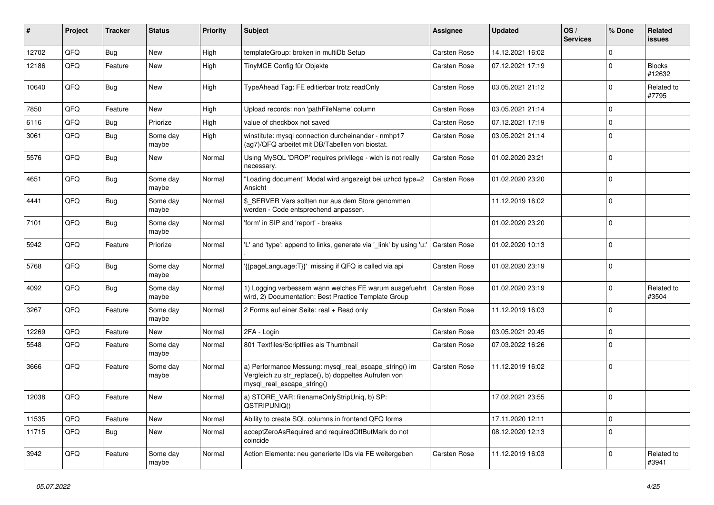| ∦     | Project | <b>Tracker</b> | <b>Status</b>     | <b>Priority</b> | <b>Subject</b>                                                                                                                               | <b>Assignee</b>     | <b>Updated</b>   | OS/<br><b>Services</b> | % Done         | Related<br><b>issues</b> |
|-------|---------|----------------|-------------------|-----------------|----------------------------------------------------------------------------------------------------------------------------------------------|---------------------|------------------|------------------------|----------------|--------------------------|
| 12702 | QFQ     | Bug            | New               | High            | templateGroup: broken in multiDb Setup                                                                                                       | <b>Carsten Rose</b> | 14.12.2021 16:02 |                        | $\Omega$       |                          |
| 12186 | QFQ     | Feature        | <b>New</b>        | High            | TinyMCE Config für Objekte                                                                                                                   | Carsten Rose        | 07.12.2021 17:19 |                        | $\mathbf 0$    | <b>Blocks</b><br>#12632  |
| 10640 | QFQ     | Bug            | New               | High            | TypeAhead Tag: FE editierbar trotz readOnly                                                                                                  | <b>Carsten Rose</b> | 03.05.2021 21:12 |                        | $\mathbf 0$    | Related to<br>#7795      |
| 7850  | QFQ     | Feature        | New               | High            | Upload records: non 'pathFileName' column                                                                                                    | Carsten Rose        | 03.05.2021 21:14 |                        | $\mathbf{0}$   |                          |
| 6116  | QFQ     | Bug            | Priorize          | High            | value of checkbox not saved                                                                                                                  | Carsten Rose        | 07.12.2021 17:19 |                        | $\mathbf{0}$   |                          |
| 3061  | QFQ     | Bug            | Some day<br>maybe | High            | winstitute: mysql connection durcheinander - nmhp17<br>(ag7)/QFQ arbeitet mit DB/Tabellen von biostat.                                       | Carsten Rose        | 03.05.2021 21:14 |                        | $\Omega$       |                          |
| 5576  | QFQ     | Bug            | <b>New</b>        | Normal          | Using MySQL 'DROP' requires privilege - wich is not really<br>necessary.                                                                     | Carsten Rose        | 01.02.2020 23:21 |                        | $\mathbf 0$    |                          |
| 4651  | QFQ     | Bug            | Some day<br>maybe | Normal          | "Loading document" Modal wird angezeigt bei uzhcd type=2<br>Ansicht                                                                          | Carsten Rose        | 01.02.2020 23:20 |                        | $\mathbf 0$    |                          |
| 4441  | QFQ     | Bug            | Some day<br>maybe | Normal          | \$ SERVER Vars sollten nur aus dem Store genommen<br>werden - Code entsprechend anpassen.                                                    |                     | 11.12.2019 16:02 |                        | $\overline{0}$ |                          |
| 7101  | QFQ     | Bug            | Some day<br>maybe | Normal          | 'form' in SIP and 'report' - breaks                                                                                                          |                     | 01.02.2020 23:20 |                        | $\Omega$       |                          |
| 5942  | QFQ     | Feature        | Priorize          | Normal          | 'L' and 'type': append to links, generate via 'link' by using 'u:'                                                                           | Carsten Rose        | 01.02.2020 10:13 |                        | $\mathbf 0$    |                          |
| 5768  | QFQ     | Bug            | Some day<br>maybe | Normal          | {{pageLanguage:T}}' missing if QFQ is called via api                                                                                         | Carsten Rose        | 01.02.2020 23:19 |                        | 0              |                          |
| 4092  | QFQ     | Bug            | Some day<br>maybe | Normal          | 1) Logging verbessern wann welches FE warum ausgefuehrt<br>wird, 2) Documentation: Best Practice Template Group                              | Carsten Rose        | 01.02.2020 23:19 |                        | $\Omega$       | Related to<br>#3504      |
| 3267  | QFQ     | Feature        | Some day<br>maybe | Normal          | 2 Forms auf einer Seite: real + Read only                                                                                                    | Carsten Rose        | 11.12.2019 16:03 |                        | 0              |                          |
| 12269 | QFQ     | Feature        | New               | Normal          | 2FA - Login                                                                                                                                  | <b>Carsten Rose</b> | 03.05.2021 20:45 |                        | $\mathbf 0$    |                          |
| 5548  | QFQ     | Feature        | Some day<br>maybe | Normal          | 801 Textfiles/Scriptfiles als Thumbnail                                                                                                      | Carsten Rose        | 07.03.2022 16:26 |                        | $\Omega$       |                          |
| 3666  | QFQ     | Feature        | Some day<br>maybe | Normal          | a) Performance Messung: mysql_real_escape_string() im<br>Vergleich zu str_replace(), b) doppeltes Aufrufen von<br>mysql_real_escape_string() | Carsten Rose        | 11.12.2019 16:02 |                        | 0              |                          |
| 12038 | QFQ     | Feature        | <b>New</b>        | Normal          | a) STORE_VAR: filenameOnlyStripUniq, b) SP:<br>QSTRIPUNIQ()                                                                                  |                     | 17.02.2021 23:55 |                        | $\mathbf 0$    |                          |
| 11535 | QFQ     | Feature        | New               | Normal          | Ability to create SQL columns in frontend QFQ forms                                                                                          |                     | 17.11.2020 12:11 |                        | $\mathbf 0$    |                          |
| 11715 | QFQ     | <b>Bug</b>     | New               | Normal          | acceptZeroAsRequired and requiredOffButMark do not<br>coincide                                                                               |                     | 08.12.2020 12:13 |                        | 0              |                          |
| 3942  | QFG     | Feature        | Some day<br>maybe | Normal          | Action Elemente: neu generierte IDs via FE weitergeben                                                                                       | Carsten Rose        | 11.12.2019 16:03 |                        | $\mathbf 0$    | Related to<br>#3941      |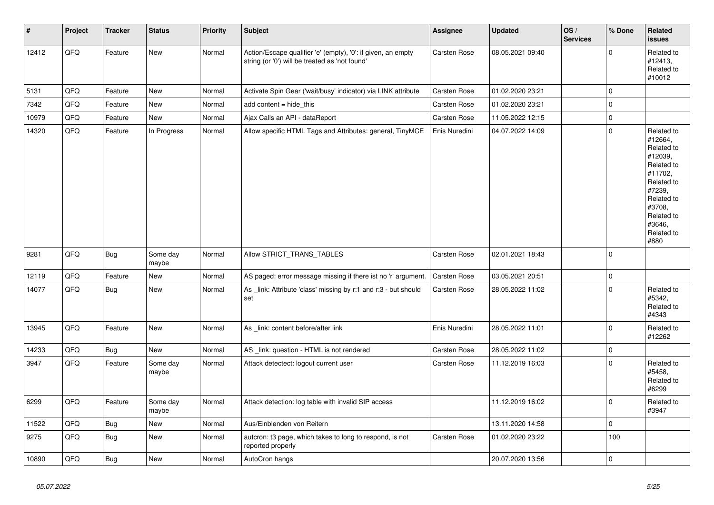| $\vert$ # | Project | <b>Tracker</b> | <b>Status</b>     | <b>Priority</b> | Subject                                                                                                        | Assignee            | <b>Updated</b>   | OS/<br><b>Services</b> | % Done       | Related<br><b>issues</b>                                                                                                                                              |
|-----------|---------|----------------|-------------------|-----------------|----------------------------------------------------------------------------------------------------------------|---------------------|------------------|------------------------|--------------|-----------------------------------------------------------------------------------------------------------------------------------------------------------------------|
| 12412     | QFQ     | Feature        | New               | Normal          | Action/Escape qualifier 'e' (empty), '0': if given, an empty<br>string (or '0') will be treated as 'not found' | Carsten Rose        | 08.05.2021 09:40 |                        | $\Omega$     | Related to<br>#12413,<br>Related to<br>#10012                                                                                                                         |
| 5131      | QFQ     | Feature        | New               | Normal          | Activate Spin Gear ('wait/busy' indicator) via LINK attribute                                                  | Carsten Rose        | 01.02.2020 23:21 |                        | $\mathbf 0$  |                                                                                                                                                                       |
| 7342      | QFQ     | Feature        | <b>New</b>        | Normal          | add content = hide_this                                                                                        | Carsten Rose        | 01.02.2020 23:21 |                        | $\Omega$     |                                                                                                                                                                       |
| 10979     | QFQ     | Feature        | <b>New</b>        | Normal          | Ajax Calls an API - dataReport                                                                                 | Carsten Rose        | 11.05.2022 12:15 |                        | $\mathbf{0}$ |                                                                                                                                                                       |
| 14320     | QFQ     | Feature        | In Progress       | Normal          | Allow specific HTML Tags and Attributes: general, TinyMCE                                                      | Enis Nuredini       | 04.07.2022 14:09 |                        | $\mathbf 0$  | Related to<br>#12664,<br>Related to<br>#12039,<br>Related to<br>#11702,<br>Related to<br>#7239,<br>Related to<br>#3708.<br>Related to<br>#3646,<br>Related to<br>#880 |
| 9281      | QFQ     | Bug            | Some day<br>maybe | Normal          | Allow STRICT_TRANS_TABLES                                                                                      | Carsten Rose        | 02.01.2021 18:43 |                        | $\Omega$     |                                                                                                                                                                       |
| 12119     | QFQ     | Feature        | New               | Normal          | AS paged: error message missing if there ist no 'r' argument.                                                  | <b>Carsten Rose</b> | 03.05.2021 20:51 |                        | $\mathbf 0$  |                                                                                                                                                                       |
| 14077     | QFQ     | Bug            | New               | Normal          | As link: Attribute 'class' missing by r:1 and r:3 - but should<br>set                                          | <b>Carsten Rose</b> | 28.05.2022 11:02 |                        | $\mathbf{0}$ | Related to<br>#5342,<br>Related to<br>#4343                                                                                                                           |
| 13945     | QFQ     | Feature        | New               | Normal          | As _link: content before/after link                                                                            | Enis Nuredini       | 28.05.2022 11:01 |                        | $\mathbf 0$  | Related to<br>#12262                                                                                                                                                  |
| 14233     | QFQ     | Bug            | New               | Normal          | AS _link: question - HTML is not rendered                                                                      | Carsten Rose        | 28.05.2022 11:02 |                        | $\mathbf 0$  |                                                                                                                                                                       |
| 3947      | QFQ     | Feature        | Some day<br>maybe | Normal          | Attack detectect: logout current user                                                                          | Carsten Rose        | 11.12.2019 16:03 |                        | $\mathbf 0$  | Related to<br>#5458,<br>Related to<br>#6299                                                                                                                           |
| 6299      | QFQ     | Feature        | Some day<br>maybe | Normal          | Attack detection: log table with invalid SIP access                                                            |                     | 11.12.2019 16:02 |                        | $\mathbf 0$  | Related to<br>#3947                                                                                                                                                   |
| 11522     | QFQ     | Bug            | <b>New</b>        | Normal          | Aus/Einblenden von Reitern                                                                                     |                     | 13.11.2020 14:58 |                        | $\mathbf 0$  |                                                                                                                                                                       |
| 9275      | QFQ     | Bug            | New               | Normal          | auteron: t3 page, which takes to long to respond, is not<br>reported properly                                  | Carsten Rose        | 01.02.2020 23:22 |                        | 100          |                                                                                                                                                                       |
| 10890     | QFQ     | <b>Bug</b>     | New               | Normal          | AutoCron hangs                                                                                                 |                     | 20.07.2020 13:56 |                        | $\mathbf 0$  |                                                                                                                                                                       |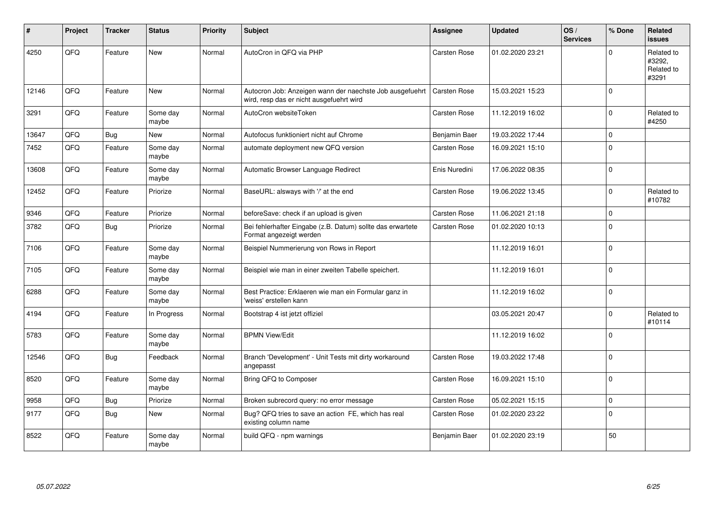| #     | Project | <b>Tracker</b> | <b>Status</b>     | <b>Priority</b> | <b>Subject</b>                                                                                       | Assignee      | <b>Updated</b>   | OS/<br><b>Services</b> | % Done         | Related<br>issues                           |
|-------|---------|----------------|-------------------|-----------------|------------------------------------------------------------------------------------------------------|---------------|------------------|------------------------|----------------|---------------------------------------------|
| 4250  | QFQ     | Feature        | <b>New</b>        | Normal          | AutoCron in QFQ via PHP                                                                              | Carsten Rose  | 01.02.2020 23:21 |                        | $\Omega$       | Related to<br>#3292,<br>Related to<br>#3291 |
| 12146 | QFQ     | Feature        | <b>New</b>        | Normal          | Autocron Job: Anzeigen wann der naechste Job ausgefuehrt<br>wird, resp das er nicht ausgefuehrt wird | Carsten Rose  | 15.03.2021 15:23 |                        | $\overline{0}$ |                                             |
| 3291  | QFQ     | Feature        | Some day<br>maybe | Normal          | AutoCron websiteToken                                                                                | Carsten Rose  | 11.12.2019 16:02 |                        | $\overline{0}$ | Related to<br>#4250                         |
| 13647 | QFQ     | Bug            | <b>New</b>        | Normal          | Autofocus funktioniert nicht auf Chrome                                                              | Benjamin Baer | 19.03.2022 17:44 |                        | $\overline{0}$ |                                             |
| 7452  | QFQ     | Feature        | Some day<br>maybe | Normal          | automate deployment new QFQ version                                                                  | Carsten Rose  | 16.09.2021 15:10 |                        | $\overline{0}$ |                                             |
| 13608 | QFQ     | Feature        | Some day<br>maybe | Normal          | Automatic Browser Language Redirect                                                                  | Enis Nuredini | 17.06.2022 08:35 |                        | $\Omega$       |                                             |
| 12452 | QFQ     | Feature        | Priorize          | Normal          | BaseURL: alsways with '/' at the end                                                                 | Carsten Rose  | 19.06.2022 13:45 |                        | $\overline{0}$ | Related to<br>#10782                        |
| 9346  | QFQ     | Feature        | Priorize          | Normal          | beforeSave: check if an upload is given                                                              | Carsten Rose  | 11.06.2021 21:18 |                        | $\Omega$       |                                             |
| 3782  | QFQ     | Bug            | Priorize          | Normal          | Bei fehlerhafter Eingabe (z.B. Datum) sollte das erwartete<br>Format angezeigt werden                | Carsten Rose  | 01.02.2020 10:13 |                        | $\overline{0}$ |                                             |
| 7106  | QFQ     | Feature        | Some day<br>maybe | Normal          | Beispiel Nummerierung von Rows in Report                                                             |               | 11.12.2019 16:01 |                        | $\mathbf 0$    |                                             |
| 7105  | QFQ     | Feature        | Some day<br>maybe | Normal          | Beispiel wie man in einer zweiten Tabelle speichert.                                                 |               | 11.12.2019 16:01 |                        | $\Omega$       |                                             |
| 6288  | QFQ     | Feature        | Some day<br>maybe | Normal          | Best Practice: Erklaeren wie man ein Formular ganz in<br>'weiss' erstellen kann                      |               | 11.12.2019 16:02 |                        | $\overline{0}$ |                                             |
| 4194  | QFQ     | Feature        | In Progress       | Normal          | Bootstrap 4 ist jetzt offiziel                                                                       |               | 03.05.2021 20:47 |                        | $\Omega$       | Related to<br>#10114                        |
| 5783  | QFQ     | Feature        | Some day<br>maybe | Normal          | <b>BPMN View/Edit</b>                                                                                |               | 11.12.2019 16:02 |                        | $\Omega$       |                                             |
| 12546 | QFQ     | Bug            | Feedback          | Normal          | Branch 'Development' - Unit Tests mit dirty workaround<br>angepasst                                  | Carsten Rose  | 19.03.2022 17:48 |                        | $\overline{0}$ |                                             |
| 8520  | QFQ     | Feature        | Some day<br>maybe | Normal          | Bring QFQ to Composer                                                                                | Carsten Rose  | 16.09.2021 15:10 |                        | $\overline{0}$ |                                             |
| 9958  | QFQ     | <b>Bug</b>     | Priorize          | Normal          | Broken subrecord query: no error message                                                             | Carsten Rose  | 05.02.2021 15:15 |                        | $\overline{0}$ |                                             |
| 9177  | QFQ     | Bug            | <b>New</b>        | Normal          | Bug? QFQ tries to save an action FE, which has real<br>existing column name                          | Carsten Rose  | 01.02.2020 23:22 |                        | $\Omega$       |                                             |
| 8522  | QFQ     | Feature        | Some day<br>maybe | Normal          | build QFQ - npm warnings                                                                             | Benjamin Baer | 01.02.2020 23:19 |                        | 50             |                                             |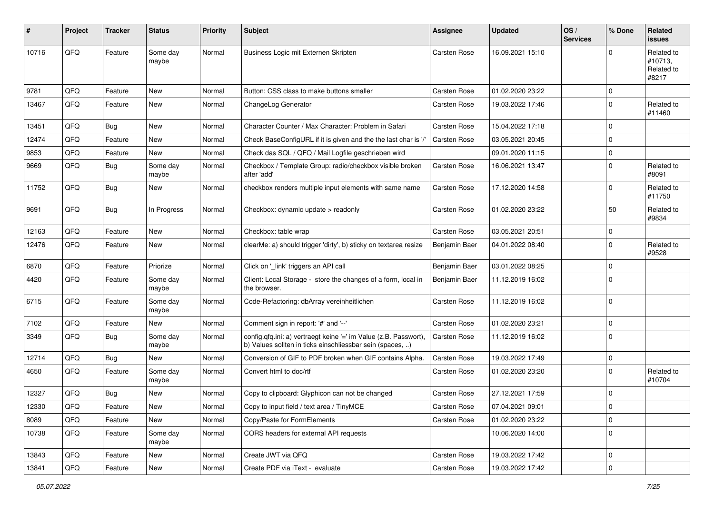| #     | Project | <b>Tracker</b> | <b>Status</b>     | Priority | <b>Subject</b>                                                                                                                | <b>Assignee</b> | <b>Updated</b>   | OS/<br><b>Services</b> | % Done         | Related<br>issues                            |
|-------|---------|----------------|-------------------|----------|-------------------------------------------------------------------------------------------------------------------------------|-----------------|------------------|------------------------|----------------|----------------------------------------------|
| 10716 | QFQ     | Feature        | Some day<br>maybe | Normal   | Business Logic mit Externen Skripten                                                                                          | Carsten Rose    | 16.09.2021 15:10 |                        | $\Omega$       | Related to<br>#10713,<br>Related to<br>#8217 |
| 9781  | QFQ     | Feature        | New               | Normal   | Button: CSS class to make buttons smaller                                                                                     | Carsten Rose    | 01.02.2020 23:22 |                        | $\Omega$       |                                              |
| 13467 | QFQ     | Feature        | New               | Normal   | ChangeLog Generator                                                                                                           | Carsten Rose    | 19.03.2022 17:46 |                        | $\Omega$       | Related to<br>#11460                         |
| 13451 | QFQ     | Bug            | New               | Normal   | Character Counter / Max Character: Problem in Safari                                                                          | Carsten Rose    | 15.04.2022 17:18 |                        | $\Omega$       |                                              |
| 12474 | QFQ     | Feature        | New               | Normal   | Check BaseConfigURL if it is given and the the last char is '/'                                                               | Carsten Rose    | 03.05.2021 20:45 |                        | $\Omega$       |                                              |
| 9853  | QFQ     | Feature        | New               | Normal   | Check das SQL / QFQ / Mail Logfile geschrieben wird                                                                           |                 | 09.01.2020 11:15 |                        | $\mathbf 0$    |                                              |
| 9669  | QFQ     | Bug            | Some day<br>maybe | Normal   | Checkbox / Template Group: radio/checkbox visible broken<br>after 'add'                                                       | Carsten Rose    | 16.06.2021 13:47 |                        | $\Omega$       | Related to<br>#8091                          |
| 11752 | QFQ     | Bug            | New               | Normal   | checkbox renders multiple input elements with same name                                                                       | Carsten Rose    | 17.12.2020 14:58 |                        | $\Omega$       | Related to<br>#11750                         |
| 9691  | QFQ     | Bug            | In Progress       | Normal   | Checkbox: dynamic update > readonly                                                                                           | Carsten Rose    | 01.02.2020 23:22 |                        | 50             | Related to<br>#9834                          |
| 12163 | QFQ     | Feature        | <b>New</b>        | Normal   | Checkbox: table wrap                                                                                                          | Carsten Rose    | 03.05.2021 20:51 |                        | $\mathbf 0$    |                                              |
| 12476 | QFQ     | Feature        | New               | Normal   | clearMe: a) should trigger 'dirty', b) sticky on textarea resize                                                              | Benjamin Baer   | 04.01.2022 08:40 |                        | $\mathbf 0$    | Related to<br>#9528                          |
| 6870  | QFQ     | Feature        | Priorize          | Normal   | Click on '_link' triggers an API call                                                                                         | Benjamin Baer   | 03.01.2022 08:25 |                        | $\Omega$       |                                              |
| 4420  | QFQ     | Feature        | Some day<br>maybe | Normal   | Client: Local Storage - store the changes of a form, local in<br>the browser.                                                 | Benjamin Baer   | 11.12.2019 16:02 |                        | $\Omega$       |                                              |
| 6715  | QFQ     | Feature        | Some day<br>maybe | Normal   | Code-Refactoring: dbArray vereinheitlichen                                                                                    | Carsten Rose    | 11.12.2019 16:02 |                        | $\Omega$       |                                              |
| 7102  | QFQ     | Feature        | New               | Normal   | Comment sign in report: '#' and '--'                                                                                          | Carsten Rose    | 01.02.2020 23:21 |                        | $\mathbf 0$    |                                              |
| 3349  | QFQ     | <b>Bug</b>     | Some day<br>maybe | Normal   | config.qfq.ini: a) vertraegt keine '=' im Value (z.B. Passwort),<br>b) Values sollten in ticks einschliessbar sein (spaces, ) | Carsten Rose    | 11.12.2019 16:02 |                        | $\Omega$       |                                              |
| 12714 | QFQ     | Bug            | New               | Normal   | Conversion of GIF to PDF broken when GIF contains Alpha.                                                                      | Carsten Rose    | 19.03.2022 17:49 |                        | $\mathbf 0$    |                                              |
| 4650  | QFQ     | Feature        | Some day<br>maybe | Normal   | Convert html to doc/rtf                                                                                                       | Carsten Rose    | 01.02.2020 23:20 |                        | $\Omega$       | Related to<br>#10704                         |
| 12327 | QFQ     | <b>Bug</b>     | New               | Normal   | Copy to clipboard: Glyphicon can not be changed                                                                               | Carsten Rose    | 27.12.2021 17:59 |                        | $\Omega$       |                                              |
| 12330 | QFQ     | Feature        | New               | Normal   | Copy to input field / text area / TinyMCE                                                                                     | Carsten Rose    | 07.04.2021 09:01 |                        | 0              |                                              |
| 8089  | QFQ     | Feature        | New               | Normal   | Copy/Paste for FormElements                                                                                                   | Carsten Rose    | 01.02.2020 23:22 |                        | $\overline{0}$ |                                              |
| 10738 | QFQ     | Feature        | Some day<br>maybe | Normal   | CORS headers for external API requests                                                                                        |                 | 10.06.2020 14:00 |                        | 0              |                                              |
| 13843 | QFQ     | Feature        | New               | Normal   | Create JWT via QFQ                                                                                                            | Carsten Rose    | 19.03.2022 17:42 |                        | $\overline{0}$ |                                              |
| 13841 | QFQ     | Feature        | New               | Normal   | Create PDF via iText - evaluate                                                                                               | Carsten Rose    | 19.03.2022 17:42 |                        | $\overline{0}$ |                                              |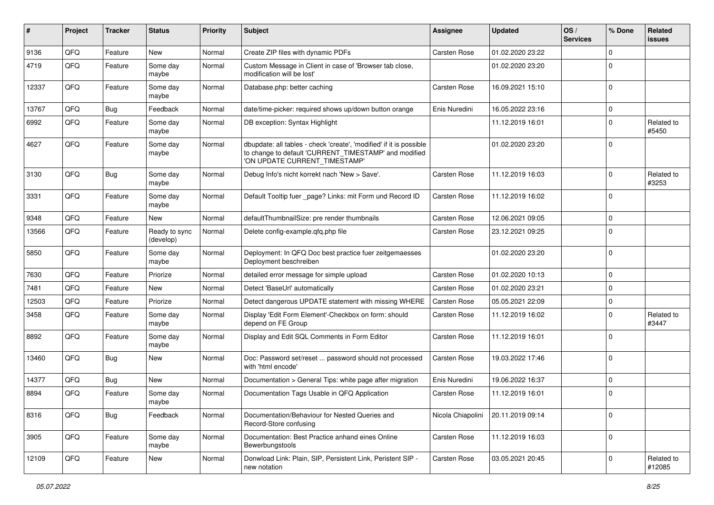| #     | Project | <b>Tracker</b> | <b>Status</b>              | <b>Priority</b> | Subject                                                                                                                                                       | Assignee            | <b>Updated</b>   | OS/<br><b>Services</b> | % Done       | Related<br>issues    |
|-------|---------|----------------|----------------------------|-----------------|---------------------------------------------------------------------------------------------------------------------------------------------------------------|---------------------|------------------|------------------------|--------------|----------------------|
| 9136  | QFQ     | Feature        | <b>New</b>                 | Normal          | Create ZIP files with dynamic PDFs                                                                                                                            | <b>Carsten Rose</b> | 01.02.2020 23:22 |                        | 0            |                      |
| 4719  | QFQ     | Feature        | Some day<br>maybe          | Normal          | Custom Message in Client in case of 'Browser tab close,<br>modification will be lost'                                                                         |                     | 01.02.2020 23:20 |                        | 0            |                      |
| 12337 | QFQ     | Feature        | Some day<br>maybe          | Normal          | Database.php: better caching                                                                                                                                  | Carsten Rose        | 16.09.2021 15:10 |                        | $\Omega$     |                      |
| 13767 | QFQ     | <b>Bug</b>     | Feedback                   | Normal          | date/time-picker: required shows up/down button orange                                                                                                        | Enis Nuredini       | 16.05.2022 23:16 |                        | $\Omega$     |                      |
| 6992  | QFQ     | Feature        | Some day<br>maybe          | Normal          | DB exception: Syntax Highlight                                                                                                                                |                     | 11.12.2019 16:01 |                        | $\Omega$     | Related to<br>#5450  |
| 4627  | QFQ     | Feature        | Some day<br>maybe          | Normal          | dbupdate: all tables - check 'create', 'modified' if it is possible<br>to change to default 'CURRENT_TIMESTAMP' and modified<br>'ON UPDATE CURRENT_TIMESTAMP' |                     | 01.02.2020 23:20 |                        | 0            |                      |
| 3130  | QFQ     | Bug            | Some day<br>maybe          | Normal          | Debug Info's nicht korrekt nach 'New > Save'.                                                                                                                 | Carsten Rose        | 11.12.2019 16:03 |                        | 0            | Related to<br>#3253  |
| 3331  | QFQ     | Feature        | Some day<br>maybe          | Normal          | Default Tooltip fuer _page? Links: mit Form und Record ID                                                                                                     | Carsten Rose        | 11.12.2019 16:02 |                        | $\Omega$     |                      |
| 9348  | QFQ     | Feature        | New                        | Normal          | defaultThumbnailSize: pre render thumbnails                                                                                                                   | Carsten Rose        | 12.06.2021 09:05 |                        | 0            |                      |
| 13566 | QFQ     | Feature        | Ready to sync<br>(develop) | Normal          | Delete config-example.gfg.php file                                                                                                                            | Carsten Rose        | 23.12.2021 09:25 |                        | <sup>0</sup> |                      |
| 5850  | QFQ     | Feature        | Some day<br>maybe          | Normal          | Deployment: In QFQ Doc best practice fuer zeitgemaesses<br>Deployment beschreiben                                                                             |                     | 01.02.2020 23:20 |                        | $\Omega$     |                      |
| 7630  | QFQ     | Feature        | Priorize                   | Normal          | detailed error message for simple upload                                                                                                                      | Carsten Rose        | 01.02.2020 10:13 |                        | $\Omega$     |                      |
| 7481  | QFQ     | Feature        | New                        | Normal          | Detect 'BaseUrl' automatically                                                                                                                                | Carsten Rose        | 01.02.2020 23:21 |                        | $\Omega$     |                      |
| 12503 | QFQ     | Feature        | Priorize                   | Normal          | Detect dangerous UPDATE statement with missing WHERE                                                                                                          | Carsten Rose        | 05.05.2021 22:09 |                        | 0            |                      |
| 3458  | QFQ     | Feature        | Some day<br>maybe          | Normal          | Display 'Edit Form Element'-Checkbox on form: should<br>depend on FE Group                                                                                    | Carsten Rose        | 11.12.2019 16:02 |                        | U            | Related to<br>#3447  |
| 8892  | QFQ     | Feature        | Some day<br>maybe          | Normal          | Display and Edit SQL Comments in Form Editor                                                                                                                  | Carsten Rose        | 11.12.2019 16:01 |                        | $\Omega$     |                      |
| 13460 | QFQ     | Bug            | <b>New</b>                 | Normal          | Doc: Password set/reset  password should not processed<br>with 'html encode'                                                                                  | Carsten Rose        | 19.03.2022 17:46 |                        | $\Omega$     |                      |
| 14377 | QFQ     | Bug            | <b>New</b>                 | Normal          | Documentation > General Tips: white page after migration                                                                                                      | Enis Nuredini       | 19.06.2022 16:37 |                        | $\Omega$     |                      |
| 8894  | QFQ     | Feature        | Some day<br>maybe          | Normal          | Documentation Tags Usable in QFQ Application                                                                                                                  | Carsten Rose        | 11.12.2019 16:01 |                        | $\Omega$     |                      |
| 8316  | QFQ     | Bug            | Feedback                   | Normal          | Documentation/Behaviour for Nested Queries and<br>Record-Store confusing                                                                                      | Nicola Chiapolini   | 20.11.2019 09:14 |                        | $\mathbf 0$  |                      |
| 3905  | QFQ     | Feature        | Some day<br>maybe          | Normal          | Documentation: Best Practice anhand eines Online<br>Bewerbungstools                                                                                           | Carsten Rose        | 11.12.2019 16:03 |                        | 0            |                      |
| 12109 | QFQ     | Feature        | New                        | Normal          | Donwload Link: Plain, SIP, Persistent Link, Peristent SIP -<br>new notation                                                                                   | Carsten Rose        | 03.05.2021 20:45 |                        | 0            | Related to<br>#12085 |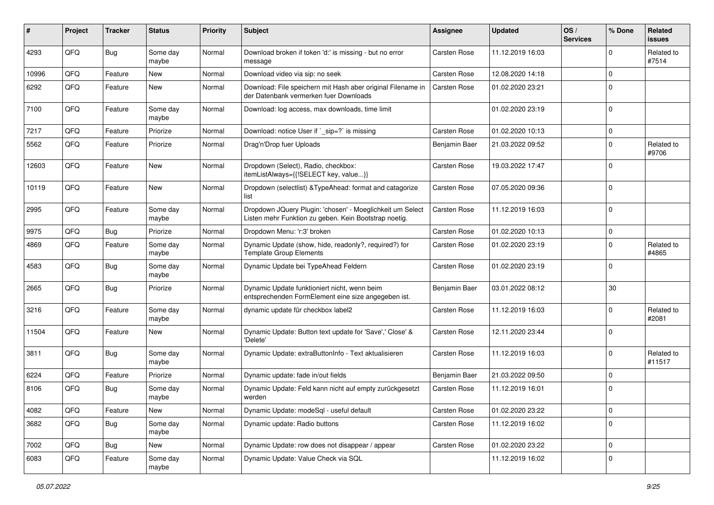| ∦     | Project | <b>Tracker</b> | <b>Status</b>     | <b>Priority</b> | <b>Subject</b>                                                                                                     | Assignee            | <b>Updated</b>   | OS/<br><b>Services</b> | % Done       | Related<br><b>issues</b> |
|-------|---------|----------------|-------------------|-----------------|--------------------------------------------------------------------------------------------------------------------|---------------------|------------------|------------------------|--------------|--------------------------|
| 4293  | QFQ     | <b>Bug</b>     | Some day<br>maybe | Normal          | Download broken if token 'd:' is missing - but no error<br>message                                                 | <b>Carsten Rose</b> | 11.12.2019 16:03 |                        | <sup>0</sup> | Related to<br>#7514      |
| 10996 | QFQ     | Feature        | New               | Normal          | Download video via sip: no seek                                                                                    | Carsten Rose        | 12.08.2020 14:18 |                        | 0            |                          |
| 6292  | QFQ     | Feature        | New               | Normal          | Download: File speichern mit Hash aber original Filename in<br>der Datenbank vermerken fuer Downloads              | Carsten Rose        | 01.02.2020 23:21 |                        | $\Omega$     |                          |
| 7100  | QFQ     | Feature        | Some day<br>maybe | Normal          | Download: log access, max downloads, time limit                                                                    |                     | 01.02.2020 23:19 |                        | $\Omega$     |                          |
| 7217  | QFQ     | Feature        | Priorize          | Normal          | Download: notice User if `_sip=?` is missing                                                                       | Carsten Rose        | 01.02.2020 10:13 |                        | 0            |                          |
| 5562  | QFQ     | Feature        | Priorize          | Normal          | Drag'n'Drop fuer Uploads                                                                                           | Benjamin Baer       | 21.03.2022 09:52 |                        | 0            | Related to<br>#9706      |
| 12603 | QFQ     | Feature        | <b>New</b>        | Normal          | Dropdown (Select), Radio, checkbox:<br>itemListAlways={{!SELECT key, value}}                                       | Carsten Rose        | 19.03.2022 17:47 |                        | 0            |                          |
| 10119 | QFQ     | Feature        | <b>New</b>        | Normal          | Dropdown (selectlist) & TypeAhead: format and catagorize<br>list                                                   | Carsten Rose        | 07.05.2020 09:36 |                        | 0            |                          |
| 2995  | QFQ     | Feature        | Some day<br>maybe | Normal          | Dropdown JQuery Plugin: 'chosen' - Moeglichkeit um Select<br>Listen mehr Funktion zu geben. Kein Bootstrap noetig. | <b>Carsten Rose</b> | 11.12.2019 16:03 |                        | $\Omega$     |                          |
| 9975  | QFQ     | Bug            | Priorize          | Normal          | Dropdown Menu: 'r:3' broken                                                                                        | Carsten Rose        | 01.02.2020 10:13 |                        | $\mathbf 0$  |                          |
| 4869  | QFQ     | Feature        | Some day<br>maybe | Normal          | Dynamic Update (show, hide, readonly?, required?) for<br><b>Template Group Elements</b>                            | Carsten Rose        | 01.02.2020 23:19 |                        | $\mathbf 0$  | Related to<br>#4865      |
| 4583  | QFQ     | Bug            | Some day<br>maybe | Normal          | Dynamic Update bei TypeAhead Feldern                                                                               | Carsten Rose        | 01.02.2020 23:19 |                        | $\Omega$     |                          |
| 2665  | QFQ     | Bug            | Priorize          | Normal          | Dynamic Update funktioniert nicht, wenn beim<br>entsprechenden FormElement eine size angegeben ist.                | Benjamin Baer       | 03.01.2022 08:12 |                        | 30           |                          |
| 3216  | QFQ     | Feature        | Some day<br>maybe | Normal          | dynamic update für checkbox label2                                                                                 | Carsten Rose        | 11.12.2019 16:03 |                        | 0            | Related to<br>#2081      |
| 11504 | QFQ     | Feature        | New               | Normal          | Dynamic Update: Button text update for 'Save',' Close' &<br>'Delete'                                               | Carsten Rose        | 12.11.2020 23:44 |                        | $\Omega$     |                          |
| 3811  | QFQ     | Bug            | Some day<br>maybe | Normal          | Dynamic Update: extraButtonInfo - Text aktualisieren                                                               | Carsten Rose        | 11.12.2019 16:03 |                        | $\Omega$     | Related to<br>#11517     |
| 6224  | QFQ     | Feature        | Priorize          | Normal          | Dynamic update: fade in/out fields                                                                                 | Benjamin Baer       | 21.03.2022 09:50 |                        | 0            |                          |
| 8106  | QFQ     | Bug            | Some day<br>maybe | Normal          | Dynamic Update: Feld kann nicht auf empty zurückgesetzt<br>werden                                                  | Carsten Rose        | 11.12.2019 16:01 |                        | 0            |                          |
| 4082  | QFG     | Feature        | New               | Normal          | Dynamic Update: modeSql - useful default                                                                           | Carsten Rose        | 01.02.2020 23:22 |                        | $\mathbf 0$  |                          |
| 3682  | QFQ     | <b>Bug</b>     | Some day<br>maybe | Normal          | Dynamic update: Radio buttons                                                                                      | Carsten Rose        | 11.12.2019 16:02 |                        | 0            |                          |
| 7002  | QFQ     | <b>Bug</b>     | New               | Normal          | Dynamic Update: row does not disappear / appear                                                                    | Carsten Rose        | 01.02.2020 23:22 |                        | $\mathbf 0$  |                          |
| 6083  | QFQ     | Feature        | Some day<br>maybe | Normal          | Dynamic Update: Value Check via SQL                                                                                |                     | 11.12.2019 16:02 |                        | 0            |                          |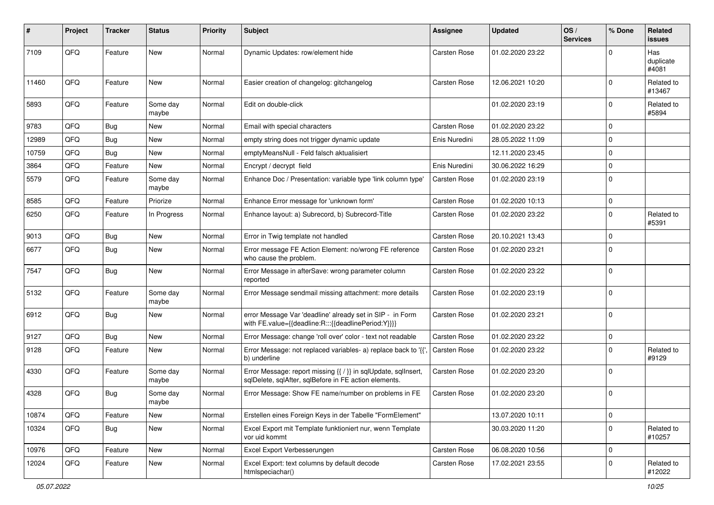| $\#$  | Project | <b>Tracker</b> | <b>Status</b>     | <b>Priority</b> | <b>Subject</b>                                                                                                          | <b>Assignee</b> | <b>Updated</b>   | OS/<br><b>Services</b> | % Done      | Related<br>issues         |
|-------|---------|----------------|-------------------|-----------------|-------------------------------------------------------------------------------------------------------------------------|-----------------|------------------|------------------------|-------------|---------------------------|
| 7109  | QFQ     | Feature        | <b>New</b>        | Normal          | Dynamic Updates: row/element hide                                                                                       | Carsten Rose    | 01.02.2020 23:22 |                        | $\Omega$    | Has<br>duplicate<br>#4081 |
| 11460 | QFQ     | Feature        | New               | Normal          | Easier creation of changelog: gitchangelog                                                                              | Carsten Rose    | 12.06.2021 10:20 |                        | $\Omega$    | Related to<br>#13467      |
| 5893  | QFQ     | Feature        | Some day<br>maybe | Normal          | Edit on double-click                                                                                                    |                 | 01.02.2020 23:19 |                        | $\Omega$    | Related to<br>#5894       |
| 9783  | QFQ     | Bug            | New               | Normal          | Email with special characters                                                                                           | Carsten Rose    | 01.02.2020 23:22 |                        | $\Omega$    |                           |
| 12989 | QFQ     | Bug            | New               | Normal          | empty string does not trigger dynamic update                                                                            | Enis Nuredini   | 28.05.2022 11:09 |                        | $\Omega$    |                           |
| 10759 | QFQ     | <b>Bug</b>     | New               | Normal          | emptyMeansNull - Feld falsch aktualisiert                                                                               |                 | 12.11.2020 23:45 |                        | $\mathbf 0$ |                           |
| 3864  | QFQ     | Feature        | New               | Normal          | Encrypt / decrypt field                                                                                                 | Enis Nuredini   | 30.06.2022 16:29 |                        | $\mathbf 0$ |                           |
| 5579  | QFQ     | Feature        | Some day<br>maybe | Normal          | Enhance Doc / Presentation: variable type 'link column type'                                                            | Carsten Rose    | 01.02.2020 23:19 |                        | $\Omega$    |                           |
| 8585  | QFQ     | Feature        | Priorize          | Normal          | Enhance Error message for 'unknown form'                                                                                | Carsten Rose    | 01.02.2020 10:13 |                        | $\mathbf 0$ |                           |
| 6250  | QFQ     | Feature        | In Progress       | Normal          | Enhance layout: a) Subrecord, b) Subrecord-Title                                                                        | Carsten Rose    | 01.02.2020 23:22 |                        | $\Omega$    | Related to<br>#5391       |
| 9013  | QFQ     | Bug            | New               | Normal          | Error in Twig template not handled                                                                                      | Carsten Rose    | 20.10.2021 13:43 |                        | $\mathbf 0$ |                           |
| 6677  | QFQ     | <b>Bug</b>     | New               | Normal          | Error message FE Action Element: no/wrong FE reference<br>who cause the problem.                                        | Carsten Rose    | 01.02.2020 23:21 |                        | $\Omega$    |                           |
| 7547  | QFQ     | Bug            | New               | Normal          | Error Message in afterSave: wrong parameter column<br>reported                                                          | Carsten Rose    | 01.02.2020 23:22 |                        | $\Omega$    |                           |
| 5132  | QFQ     | Feature        | Some day<br>maybe | Normal          | Error Message sendmail missing attachment: more details                                                                 | Carsten Rose    | 01.02.2020 23:19 |                        | $\Omega$    |                           |
| 6912  | QFQ     | Bug            | New               | Normal          | error Message Var 'deadline' already set in SIP - in Form<br>with FE.value={{deadline:R:::{{deadlinePeriod:Y}}}}        | Carsten Rose    | 01.02.2020 23:21 |                        | $\Omega$    |                           |
| 9127  | QFQ     | Bug            | New               | Normal          | Error Message: change 'roll over' color - text not readable                                                             | Carsten Rose    | 01.02.2020 23:22 |                        | $\mathbf 0$ |                           |
| 9128  | QFQ     | Feature        | New               | Normal          | Error Message: not replaced variables- a) replace back to '{'<br>b) underline                                           | Carsten Rose    | 01.02.2020 23:22 |                        | $\Omega$    | Related to<br>#9129       |
| 4330  | QFQ     | Feature        | Some day<br>maybe | Normal          | Error Message: report missing {{ / }} in sqlUpdate, sqlInsert,<br>sqlDelete, sqlAfter, sqlBefore in FE action elements. | Carsten Rose    | 01.02.2020 23:20 |                        | $\Omega$    |                           |
| 4328  | QFQ     | Bug            | Some day<br>maybe | Normal          | Error Message: Show FE name/number on problems in FE                                                                    | Carsten Rose    | 01.02.2020 23:20 |                        | $\Omega$    |                           |
| 10874 | QFQ     | Feature        | New               | Normal          | Erstellen eines Foreign Keys in der Tabelle "FormElement"                                                               |                 | 13.07.2020 10:11 |                        | $\mathbf 0$ |                           |
| 10324 | QFQ     | <b>Bug</b>     | New               | Normal          | Excel Export mit Template funktioniert nur, wenn Template<br>vor uid kommt                                              |                 | 30.03.2020 11:20 |                        | $\mathbf 0$ | Related to<br>#10257      |
| 10976 | QFQ     | Feature        | New               | Normal          | Excel Export Verbesserungen                                                                                             | Carsten Rose    | 06.08.2020 10:56 |                        | $\mathbf 0$ |                           |
| 12024 | QFQ     | Feature        | New               | Normal          | Excel Export: text columns by default decode<br>htmlspeciachar()                                                        | Carsten Rose    | 17.02.2021 23:55 |                        | $\mathbf 0$ | Related to<br>#12022      |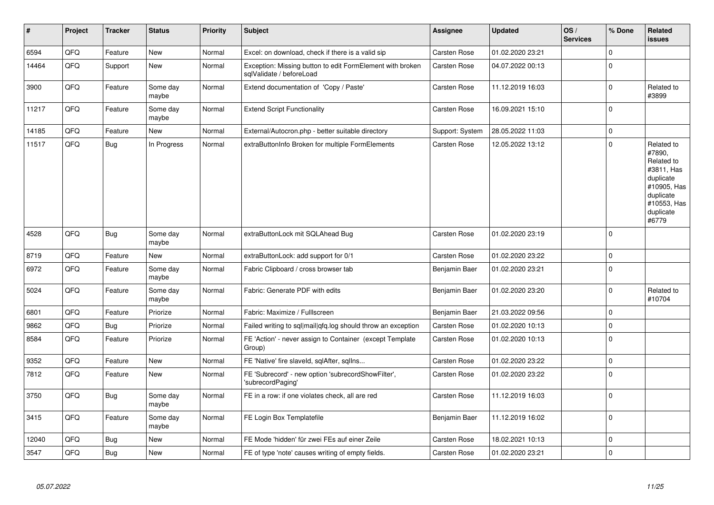| #     | Project | <b>Tracker</b> | <b>Status</b>     | <b>Priority</b> | <b>Subject</b>                                                                        | Assignee        | <b>Updated</b>   | OS/<br><b>Services</b> | % Done       | <b>Related</b><br><b>issues</b>                                                                                                |
|-------|---------|----------------|-------------------|-----------------|---------------------------------------------------------------------------------------|-----------------|------------------|------------------------|--------------|--------------------------------------------------------------------------------------------------------------------------------|
| 6594  | QFQ     | Feature        | <b>New</b>        | Normal          | Excel: on download, check if there is a valid sip                                     | Carsten Rose    | 01.02.2020 23:21 |                        | $\mathbf 0$  |                                                                                                                                |
| 14464 | QFQ     | Support        | New               | Normal          | Exception: Missing button to edit FormElement with broken<br>sglValidate / beforeLoad | Carsten Rose    | 04.07.2022 00:13 |                        | $\Omega$     |                                                                                                                                |
| 3900  | QFQ     | Feature        | Some day<br>maybe | Normal          | Extend documentation of 'Copy / Paste'                                                | Carsten Rose    | 11.12.2019 16:03 |                        | $\mathbf{0}$ | Related to<br>#3899                                                                                                            |
| 11217 | QFQ     | Feature        | Some day<br>maybe | Normal          | <b>Extend Script Functionality</b>                                                    | Carsten Rose    | 16.09.2021 15:10 |                        | $\mathbf 0$  |                                                                                                                                |
| 14185 | QFQ     | Feature        | <b>New</b>        | Normal          | External/Autocron.php - better suitable directory                                     | Support: System | 28.05.2022 11:03 |                        | $\pmb{0}$    |                                                                                                                                |
| 11517 | QFQ     | Bug            | In Progress       | Normal          | extraButtonInfo Broken for multiple FormElements                                      | Carsten Rose    | 12.05.2022 13:12 |                        | $\Omega$     | Related to<br>#7890,<br>Related to<br>#3811, Has<br>duplicate<br>#10905, Has<br>duplicate<br>#10553, Has<br>duplicate<br>#6779 |
| 4528  | QFQ     | Bug            | Some day<br>maybe | Normal          | extraButtonLock mit SQLAhead Bug                                                      | Carsten Rose    | 01.02.2020 23:19 |                        | $\mathbf 0$  |                                                                                                                                |
| 8719  | QFQ     | Feature        | New               | Normal          | extraButtonLock: add support for 0/1                                                  | Carsten Rose    | 01.02.2020 23:22 |                        | $\pmb{0}$    |                                                                                                                                |
| 6972  | QFQ     | Feature        | Some day<br>maybe | Normal          | Fabric Clipboard / cross browser tab                                                  | Benjamin Baer   | 01.02.2020 23:21 |                        | $\mathbf{0}$ |                                                                                                                                |
| 5024  | QFQ     | Feature        | Some day<br>maybe | Normal          | Fabric: Generate PDF with edits                                                       | Benjamin Baer   | 01.02.2020 23:20 |                        | $\mathbf 0$  | Related to<br>#10704                                                                                                           |
| 6801  | QFQ     | Feature        | Priorize          | Normal          | Fabric: Maximize / Fulllscreen                                                        | Benjamin Baer   | 21.03.2022 09:56 |                        | $\pmb{0}$    |                                                                                                                                |
| 9862  | QFQ     | Bug            | Priorize          | Normal          | Failed writing to sql mail qfq.log should throw an exception                          | Carsten Rose    | 01.02.2020 10:13 |                        | $\mathbf 0$  |                                                                                                                                |
| 8584  | QFQ     | Feature        | Priorize          | Normal          | FE 'Action' - never assign to Container (except Template<br>Group)                    | Carsten Rose    | 01.02.2020 10:13 |                        | $\pmb{0}$    |                                                                                                                                |
| 9352  | QFQ     | Feature        | <b>New</b>        | Normal          | FE 'Native' fire slaveld, sglAfter, sglIns                                            | Carsten Rose    | 01.02.2020 23:22 |                        | $\mathbf{0}$ |                                                                                                                                |
| 7812  | QFQ     | Feature        | New               | Normal          | FE 'Subrecord' - new option 'subrecordShowFilter',<br>'subrecordPaging'               | Carsten Rose    | 01.02.2020 23:22 |                        | $\mathbf{0}$ |                                                                                                                                |
| 3750  | QFQ     | <b>Bug</b>     | Some day<br>maybe | Normal          | FE in a row: if one violates check, all are red                                       | Carsten Rose    | 11.12.2019 16:03 |                        | $\mathbf{0}$ |                                                                                                                                |
| 3415  | QFQ     | Feature        | Some day<br>maybe | Normal          | FE Login Box Templatefile                                                             | Benjamin Baer   | 11.12.2019 16:02 |                        | $\mathbf{0}$ |                                                                                                                                |
| 12040 | QFQ     | Bug            | New               | Normal          | FE Mode 'hidden' für zwei FEs auf einer Zeile                                         | Carsten Rose    | 18.02.2021 10:13 |                        | $\mathbf 0$  |                                                                                                                                |
| 3547  | QFQ     | Bug            | New               | Normal          | FE of type 'note' causes writing of empty fields.                                     | Carsten Rose    | 01.02.2020 23:21 |                        | $\mathbf{0}$ |                                                                                                                                |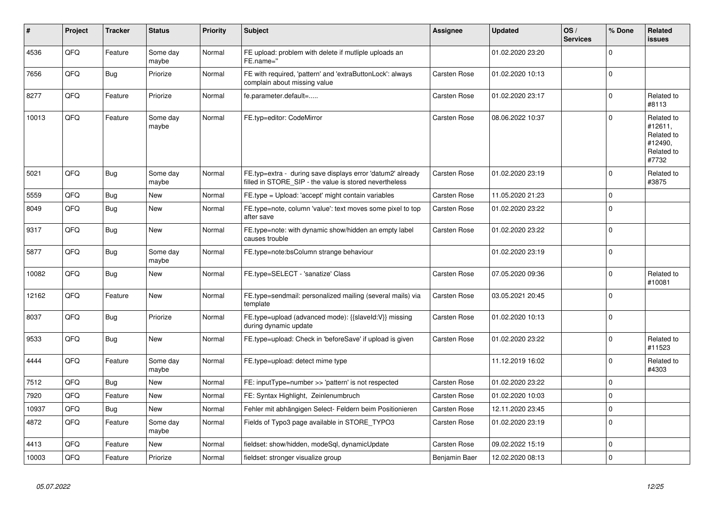| #     | <b>Project</b> | <b>Tracker</b> | <b>Status</b>     | <b>Priority</b> | <b>Subject</b>                                                                                                       | <b>Assignee</b> | <b>Updated</b>   | OS/<br><b>Services</b> | % Done         | Related<br><b>issues</b>                                              |
|-------|----------------|----------------|-------------------|-----------------|----------------------------------------------------------------------------------------------------------------------|-----------------|------------------|------------------------|----------------|-----------------------------------------------------------------------|
| 4536  | QFQ            | Feature        | Some day<br>maybe | Normal          | FE upload: problem with delete if mutliple uploads an<br>FE.name="                                                   |                 | 01.02.2020 23:20 |                        | $\Omega$       |                                                                       |
| 7656  | QFQ            | Bug            | Priorize          | Normal          | FE with required, 'pattern' and 'extraButtonLock': always<br>complain about missing value                            | Carsten Rose    | 01.02.2020 10:13 |                        | $\Omega$       |                                                                       |
| 8277  | QFQ            | Feature        | Priorize          | Normal          | fe.parameter.default=                                                                                                | Carsten Rose    | 01.02.2020 23:17 |                        | $\Omega$       | Related to<br>#8113                                                   |
| 10013 | QFQ            | Feature        | Some day<br>maybe | Normal          | FE.typ=editor: CodeMirror                                                                                            | Carsten Rose    | 08.06.2022 10:37 |                        | $\mathbf{0}$   | Related to<br>#12611,<br>Related to<br>#12490,<br>Related to<br>#7732 |
| 5021  | QFQ            | Bug            | Some day<br>maybe | Normal          | FE.typ=extra - during save displays error 'datum2' already<br>filled in STORE_SIP - the value is stored nevertheless | Carsten Rose    | 01.02.2020 23:19 |                        | $\mathbf{0}$   | Related to<br>#3875                                                   |
| 5559  | QFQ            | Bug            | <b>New</b>        | Normal          | FE.type = Upload: 'accept' might contain variables                                                                   | Carsten Rose    | 11.05.2020 21:23 |                        | $\pmb{0}$      |                                                                       |
| 8049  | QFQ            | Bug            | New               | Normal          | FE.type=note, column 'value': text moves some pixel to top<br>after save                                             | Carsten Rose    | 01.02.2020 23:22 |                        | $\mathbf{0}$   |                                                                       |
| 9317  | QFQ            | Bug            | <b>New</b>        | Normal          | FE.type=note: with dynamic show/hidden an empty label<br>causes trouble                                              | Carsten Rose    | 01.02.2020 23:22 |                        | $\Omega$       |                                                                       |
| 5877  | QFQ            | Bug            | Some day<br>maybe | Normal          | FE.type=note:bsColumn strange behaviour                                                                              |                 | 01.02.2020 23:19 |                        | $\mathbf{0}$   |                                                                       |
| 10082 | QFQ            | Bug            | New               | Normal          | FE.type=SELECT - 'sanatize' Class                                                                                    | Carsten Rose    | 07.05.2020 09:36 |                        | $\mathbf 0$    | Related to<br>#10081                                                  |
| 12162 | QFQ            | Feature        | New               | Normal          | FE.type=sendmail: personalized mailing (several mails) via<br>template                                               | Carsten Rose    | 03.05.2021 20:45 |                        | $\mathbf 0$    |                                                                       |
| 8037  | QFQ            | Bug            | Priorize          | Normal          | FE.type=upload (advanced mode): {{slaveId:V}} missing<br>during dynamic update                                       | Carsten Rose    | 01.02.2020 10:13 |                        | $\Omega$       |                                                                       |
| 9533  | QFQ            | Bug            | <b>New</b>        | Normal          | FE.type=upload: Check in 'beforeSave' if upload is given                                                             | Carsten Rose    | 01.02.2020 23:22 |                        | $\mathbf{0}$   | Related to<br>#11523                                                  |
| 4444  | QFQ            | Feature        | Some day<br>maybe | Normal          | FE.type=upload: detect mime type                                                                                     |                 | 11.12.2019 16:02 |                        | $\mathbf{0}$   | Related to<br>#4303                                                   |
| 7512  | QFQ            | Bug            | <b>New</b>        | Normal          | FE: inputType=number >> 'pattern' is not respected                                                                   | Carsten Rose    | 01.02.2020 23:22 |                        | $\mathbf{0}$   |                                                                       |
| 7920  | QFQ            | Feature        | <b>New</b>        | Normal          | FE: Syntax Highlight, Zeinlenumbruch                                                                                 | Carsten Rose    | 01.02.2020 10:03 |                        | $\mathbf{0}$   |                                                                       |
| 10937 | QFQ            | Bug            | <b>New</b>        | Normal          | Fehler mit abhängigen Select- Feldern beim Positionieren                                                             | Carsten Rose    | 12.11.2020 23:45 |                        | $\pmb{0}$      |                                                                       |
| 4872  | QFQ            | Feature        | Some day<br>maybe | Normal          | Fields of Typo3 page available in STORE TYPO3                                                                        | Carsten Rose    | 01.02.2020 23:19 |                        | $\mathbf 0$    |                                                                       |
| 4413  | QFQ            | Feature        | <b>New</b>        | Normal          | fieldset: show/hidden, modeSgl, dynamicUpdate                                                                        | Carsten Rose    | 09.02.2022 15:19 |                        | $\mathbf{0}$   |                                                                       |
| 10003 | QFQ            | Feature        | Priorize          | Normal          | fieldset: stronger visualize group                                                                                   | Benjamin Baer   | 12.02.2020 08:13 |                        | $\overline{0}$ |                                                                       |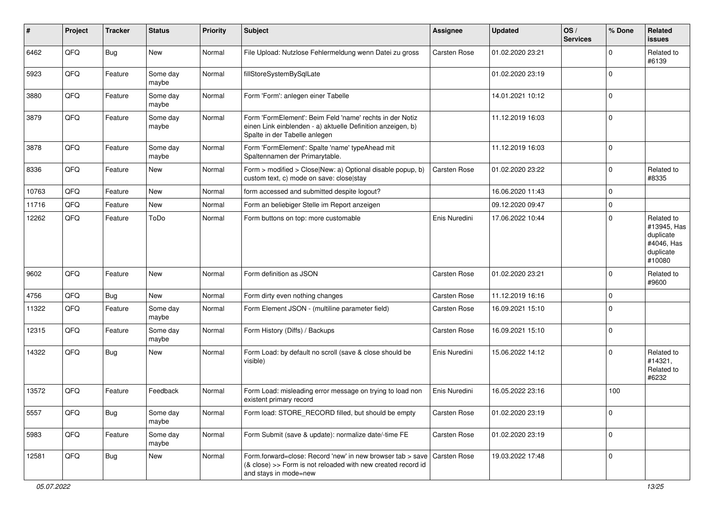| #     | Project | <b>Tracker</b> | <b>Status</b>     | <b>Priority</b> | <b>Subject</b>                                                                                                                                           | <b>Assignee</b>     | <b>Updated</b>   | OS/<br><b>Services</b> | % Done         | Related<br>issues                                                           |
|-------|---------|----------------|-------------------|-----------------|----------------------------------------------------------------------------------------------------------------------------------------------------------|---------------------|------------------|------------------------|----------------|-----------------------------------------------------------------------------|
| 6462  | QFQ     | Bug            | New               | Normal          | File Upload: Nutzlose Fehlermeldung wenn Datei zu gross                                                                                                  | <b>Carsten Rose</b> | 01.02.2020 23:21 |                        | $\Omega$       | Related to<br>#6139                                                         |
| 5923  | QFQ     | Feature        | Some day<br>maybe | Normal          | fillStoreSystemBySqlLate                                                                                                                                 |                     | 01.02.2020 23:19 |                        | 0              |                                                                             |
| 3880  | QFQ     | Feature        | Some day<br>maybe | Normal          | Form 'Form': anlegen einer Tabelle                                                                                                                       |                     | 14.01.2021 10:12 |                        | $\Omega$       |                                                                             |
| 3879  | QFQ     | Feature        | Some day<br>maybe | Normal          | Form 'FormElement': Beim Feld 'name' rechts in der Notiz<br>einen Link einblenden - a) aktuelle Definition anzeigen, b)<br>Spalte in der Tabelle anlegen |                     | 11.12.2019 16:03 |                        | $\overline{0}$ |                                                                             |
| 3878  | QFQ     | Feature        | Some day<br>maybe | Normal          | Form 'FormElement': Spalte 'name' typeAhead mit<br>Spaltennamen der Primarytable.                                                                        |                     | 11.12.2019 16:03 |                        | 0              |                                                                             |
| 8336  | QFQ     | Feature        | New               | Normal          | Form > modified > Close New: a) Optional disable popup, b)<br>custom text, c) mode on save: close stay                                                   | Carsten Rose        | 01.02.2020 23:22 |                        | $\mathbf 0$    | Related to<br>#8335                                                         |
| 10763 | QFQ     | Feature        | <b>New</b>        | Normal          | form accessed and submitted despite logout?                                                                                                              |                     | 16.06.2020 11:43 |                        | $\overline{0}$ |                                                                             |
| 11716 | QFQ     | Feature        | <b>New</b>        | Normal          | Form an beliebiger Stelle im Report anzeigen                                                                                                             |                     | 09.12.2020 09:47 |                        | $\mathbf 0$    |                                                                             |
| 12262 | QFQ     | Feature        | ToDo              | Normal          | Form buttons on top: more customable                                                                                                                     | Enis Nuredini       | 17.06.2022 10:44 |                        | $\Omega$       | Related to<br>#13945, Has<br>duplicate<br>#4046, Has<br>duplicate<br>#10080 |
| 9602  | QFQ     | Feature        | <b>New</b>        | Normal          | Form definition as JSON                                                                                                                                  | Carsten Rose        | 01.02.2020 23:21 |                        | $\Omega$       | Related to<br>#9600                                                         |
| 4756  | QFQ     | <b>Bug</b>     | New               | Normal          | Form dirty even nothing changes                                                                                                                          | Carsten Rose        | 11.12.2019 16:16 |                        | $\Omega$       |                                                                             |
| 11322 | QFQ     | Feature        | Some day<br>maybe | Normal          | Form Element JSON - (multiline parameter field)                                                                                                          | Carsten Rose        | 16.09.2021 15:10 |                        | $\Omega$       |                                                                             |
| 12315 | QFQ     | Feature        | Some day<br>maybe | Normal          | Form History (Diffs) / Backups                                                                                                                           | Carsten Rose        | 16.09.2021 15:10 |                        | $\Omega$       |                                                                             |
| 14322 | QFQ     | Bug            | New               | Normal          | Form Load: by default no scroll (save & close should be<br>visible)                                                                                      | Enis Nuredini       | 15.06.2022 14:12 |                        | $\Omega$       | Related to<br>#14321,<br>Related to<br>#6232                                |
| 13572 | QFQ     | Feature        | Feedback          | Normal          | Form Load: misleading error message on trying to load non<br>existent primary record                                                                     | Enis Nuredini       | 16.05.2022 23:16 |                        | 100            |                                                                             |
| 5557  | QFO     | <b>Bug</b>     | Some day<br>maybe | Normal          | Form load: STORE_RECORD filled, but should be empty                                                                                                      | Carsten Rose        | 01.02.2020 23:19 |                        | $\overline{0}$ |                                                                             |
| 5983  | QFO     | Feature        | Some day<br>maybe | Normal          | Form Submit (save & update): normalize date/-time FE                                                                                                     | Carsten Rose        | 01.02.2020 23:19 |                        | $\overline{0}$ |                                                                             |
| 12581 | QFQ     | <b>Bug</b>     | New               | Normal          | Form.forward=close: Record 'new' in new browser tab > save<br>(& close) >> Form is not reloaded with new created record id<br>and stays in mode=new      | Carsten Rose        | 19.03.2022 17:48 |                        | $\overline{0}$ |                                                                             |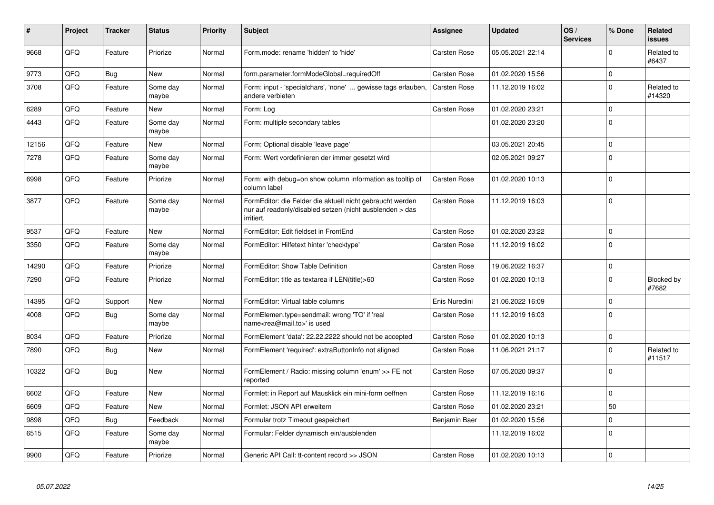| #     | Project | <b>Tracker</b> | <b>Status</b>     | <b>Priority</b> | <b>Subject</b>                                                                                                                      | Assignee            | <b>Updated</b>   | OS/<br><b>Services</b> | % Done         | Related<br><b>issues</b> |
|-------|---------|----------------|-------------------|-----------------|-------------------------------------------------------------------------------------------------------------------------------------|---------------------|------------------|------------------------|----------------|--------------------------|
| 9668  | QFQ     | Feature        | Priorize          | Normal          | Form.mode: rename 'hidden' to 'hide'                                                                                                | Carsten Rose        | 05.05.2021 22:14 |                        | $\Omega$       | Related to<br>#6437      |
| 9773  | QFQ     | <b>Bug</b>     | <b>New</b>        | Normal          | form.parameter.formModeGlobal=requiredOff                                                                                           | <b>Carsten Rose</b> | 01.02.2020 15:56 |                        | $\Omega$       |                          |
| 3708  | QFQ     | Feature        | Some day<br>maybe | Normal          | Form: input - 'specialchars', 'none'  gewisse tags erlauben,<br>andere verbieten                                                    | <b>Carsten Rose</b> | 11.12.2019 16:02 |                        | $\Omega$       | Related to<br>#14320     |
| 6289  | QFQ     | Feature        | <b>New</b>        | Normal          | Form: Log                                                                                                                           | <b>Carsten Rose</b> | 01.02.2020 23:21 |                        | $\Omega$       |                          |
| 4443  | QFQ     | Feature        | Some day<br>maybe | Normal          | Form: multiple secondary tables                                                                                                     |                     | 01.02.2020 23:20 |                        | $\Omega$       |                          |
| 12156 | QFQ     | Feature        | <b>New</b>        | Normal          | Form: Optional disable 'leave page'                                                                                                 |                     | 03.05.2021 20:45 |                        | $\Omega$       |                          |
| 7278  | QFQ     | Feature        | Some day<br>maybe | Normal          | Form: Wert vordefinieren der immer gesetzt wird                                                                                     |                     | 02.05.2021 09:27 |                        | $\Omega$       |                          |
| 6998  | QFQ     | Feature        | Priorize          | Normal          | Form: with debug=on show column information as tooltip of<br>column label                                                           | Carsten Rose        | 01.02.2020 10:13 |                        | $\Omega$       |                          |
| 3877  | QFQ     | Feature        | Some day<br>maybe | Normal          | FormEditor: die Felder die aktuell nicht gebraucht werden<br>nur auf readonly/disabled setzen (nicht ausblenden > das<br>irritiert. | Carsten Rose        | 11.12.2019 16:03 |                        | $\Omega$       |                          |
| 9537  | QFQ     | Feature        | <b>New</b>        | Normal          | FormEditor: Edit fieldset in FrontEnd                                                                                               | <b>Carsten Rose</b> | 01.02.2020 23:22 |                        | $\Omega$       |                          |
| 3350  | QFQ     | Feature        | Some day<br>maybe | Normal          | FormEditor: Hilfetext hinter 'checktype'                                                                                            | <b>Carsten Rose</b> | 11.12.2019 16:02 |                        | $\Omega$       |                          |
| 14290 | QFQ     | Feature        | Priorize          | Normal          | FormEditor: Show Table Definition                                                                                                   | Carsten Rose        | 19.06.2022 16:37 |                        | $\Omega$       |                          |
| 7290  | QFQ     | Feature        | Priorize          | Normal          | FormEditor: title as textarea if LEN(title)>60                                                                                      | Carsten Rose        | 01.02.2020 10:13 |                        | $\Omega$       | Blocked by<br>#7682      |
| 14395 | QFQ     | Support        | <b>New</b>        | Normal          | FormEditor: Virtual table columns                                                                                                   | Enis Nuredini       | 21.06.2022 16:09 |                        | $\Omega$       |                          |
| 4008  | QFQ     | <b>Bug</b>     | Some day<br>maybe | Normal          | FormElemen.type=sendmail: wrong 'TO' if 'real<br>name <rea@mail.to>' is used</rea@mail.to>                                          | Carsten Rose        | 11.12.2019 16:03 |                        | $\overline{0}$ |                          |
| 8034  | QFQ     | Feature        | Priorize          | Normal          | FormElement 'data': 22.22.2222 should not be accepted                                                                               | Carsten Rose        | 01.02.2020 10:13 |                        | $\mathbf 0$    |                          |
| 7890  | QFQ     | <b>Bug</b>     | <b>New</b>        | Normal          | FormElement 'required': extraButtonInfo not aligned                                                                                 | <b>Carsten Rose</b> | 11.06.2021 21:17 |                        | $\Omega$       | Related to<br>#11517     |
| 10322 | QFQ     | <b>Bug</b>     | <b>New</b>        | Normal          | FormElement / Radio: missing column 'enum' >> FE not<br>reported                                                                    | Carsten Rose        | 07.05.2020 09:37 |                        | $\Omega$       |                          |
| 6602  | QFQ     | Feature        | New               | Normal          | Formlet: in Report auf Mausklick ein mini-form oeffnen                                                                              | Carsten Rose        | 11.12.2019 16:16 |                        | $\mathbf 0$    |                          |
| 6609  | QFQ     | Feature        | <b>New</b>        | Normal          | Formlet: JSON API erweitern                                                                                                         | <b>Carsten Rose</b> | 01.02.2020 23:21 |                        | 50             |                          |
| 9898  | QFQ     | <b>Bug</b>     | Feedback          | Normal          | Formular trotz Timeout gespeichert                                                                                                  | Benjamin Baer       | 01.02.2020 15:56 |                        | $\Omega$       |                          |
| 6515  | QFQ     | Feature        | Some day<br>maybe | Normal          | Formular: Felder dynamisch ein/ausblenden                                                                                           |                     | 11.12.2019 16:02 |                        | $\Omega$       |                          |
| 9900  | QFQ     | Feature        | Priorize          | Normal          | Generic API Call: tt-content record >> JSON                                                                                         | <b>Carsten Rose</b> | 01.02.2020 10:13 |                        | 0              |                          |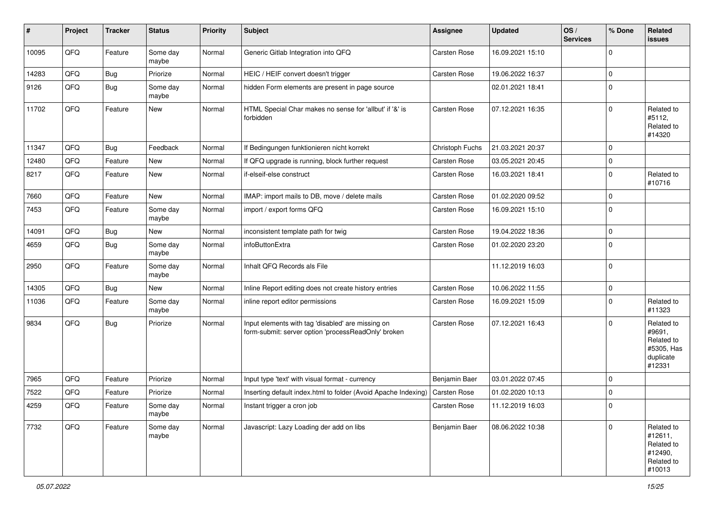| $\vert$ # | Project        | <b>Tracker</b> | <b>Status</b>     | <b>Priority</b> | <b>Subject</b>                                                                                           | <b>Assignee</b> | <b>Updated</b>   | OS/<br><b>Services</b> | % Done         | Related<br><b>issues</b>                                                |
|-----------|----------------|----------------|-------------------|-----------------|----------------------------------------------------------------------------------------------------------|-----------------|------------------|------------------------|----------------|-------------------------------------------------------------------------|
| 10095     | QFQ            | Feature        | Some day<br>maybe | Normal          | Generic Gitlab Integration into QFQ                                                                      | Carsten Rose    | 16.09.2021 15:10 |                        | $\Omega$       |                                                                         |
| 14283     | QFQ            | Bug            | Priorize          | Normal          | HEIC / HEIF convert doesn't trigger                                                                      | Carsten Rose    | 19.06.2022 16:37 |                        | $\overline{0}$ |                                                                         |
| 9126      | QFQ            | Bug            | Some day<br>maybe | Normal          | hidden Form elements are present in page source                                                          |                 | 02.01.2021 18:41 |                        | $\Omega$       |                                                                         |
| 11702     | QFQ            | Feature        | <b>New</b>        | Normal          | HTML Special Char makes no sense for 'allbut' if '&' is<br>forbidden                                     | Carsten Rose    | 07.12.2021 16:35 |                        | $\overline{0}$ | Related to<br>#5112,<br>Related to<br>#14320                            |
| 11347     | QFQ            | Bug            | Feedback          | Normal          | If Bedingungen funktionieren nicht korrekt                                                               | Christoph Fuchs | 21.03.2021 20:37 |                        | $\overline{0}$ |                                                                         |
| 12480     | QFQ            | Feature        | New               | Normal          | If QFQ upgrade is running, block further request                                                         | Carsten Rose    | 03.05.2021 20:45 |                        | $\mathbf 0$    |                                                                         |
| 8217      | QFQ            | Feature        | <b>New</b>        | Normal          | if-elseif-else construct                                                                                 | Carsten Rose    | 16.03.2021 18:41 |                        | $\mathbf 0$    | Related to<br>#10716                                                    |
| 7660      | QFQ            | Feature        | New               | Normal          | IMAP: import mails to DB, move / delete mails                                                            | Carsten Rose    | 01.02.2020 09:52 |                        | $\mathbf 0$    |                                                                         |
| 7453      | QFQ            | Feature        | Some day<br>maybe | Normal          | import / export forms QFQ                                                                                | Carsten Rose    | 16.09.2021 15:10 |                        | $\Omega$       |                                                                         |
| 14091     | QFQ            | Bug            | <b>New</b>        | Normal          | inconsistent template path for twig                                                                      | Carsten Rose    | 19.04.2022 18:36 |                        | $\overline{0}$ |                                                                         |
| 4659      | QFQ            | Bug            | Some day<br>maybe | Normal          | <b>infoButtonExtra</b>                                                                                   | Carsten Rose    | 01.02.2020 23:20 |                        | 0              |                                                                         |
| 2950      | QFQ            | Feature        | Some day<br>maybe | Normal          | Inhalt QFQ Records als File                                                                              |                 | 11.12.2019 16:03 |                        | $\overline{0}$ |                                                                         |
| 14305     | QFQ            | Bug            | New               | Normal          | Inline Report editing does not create history entries                                                    | Carsten Rose    | 10.06.2022 11:55 |                        | $\mathbf{0}$   |                                                                         |
| 11036     | QFQ            | Feature        | Some day<br>maybe | Normal          | inline report editor permissions                                                                         | Carsten Rose    | 16.09.2021 15:09 |                        | $\Omega$       | Related to<br>#11323                                                    |
| 9834      | QFQ            | Bug            | Priorize          | Normal          | Input elements with tag 'disabled' are missing on<br>form-submit: server option 'processReadOnly' broken | Carsten Rose    | 07.12.2021 16:43 |                        | $\Omega$       | Related to<br>#9691,<br>Related to<br>#5305, Has<br>duplicate<br>#12331 |
| 7965      | QFQ            | Feature        | Priorize          | Normal          | Input type 'text' with visual format - currency                                                          | Benjamin Baer   | 03.01.2022 07:45 |                        | 0              |                                                                         |
| 7522      | QFQ            | Feature        | Priorize          | Normal          | Inserting default index.html to folder (Avoid Apache Indexing)                                           | Carsten Rose    | 01.02.2020 10:13 |                        | $\mathbf{0}$   |                                                                         |
| 4259      | $\mathsf{QFQ}$ | Feature        | Some day<br>maybe | Normal          | Instant trigger a cron job                                                                               | Carsten Rose    | 11.12.2019 16:03 |                        | 0              |                                                                         |
| 7732      | QFQ            | Feature        | Some day<br>maybe | Normal          | Javascript: Lazy Loading der add on libs                                                                 | Benjamin Baer   | 08.06.2022 10:38 |                        | $\overline{0}$ | Related to<br>#12611,<br>Related to<br>#12490,<br>Related to<br>#10013  |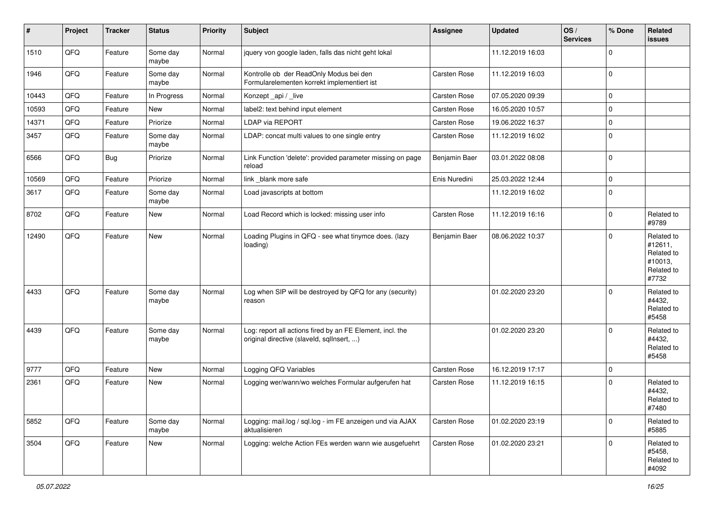| $\vert$ # | Project | <b>Tracker</b> | <b>Status</b>     | <b>Priority</b> | <b>Subject</b>                                                                                         | <b>Assignee</b>     | <b>Updated</b>   | OS/<br><b>Services</b> | % Done         | Related<br><b>issues</b>                                              |
|-----------|---------|----------------|-------------------|-----------------|--------------------------------------------------------------------------------------------------------|---------------------|------------------|------------------------|----------------|-----------------------------------------------------------------------|
| 1510      | QFQ     | Feature        | Some day<br>maybe | Normal          | jquery von google laden, falls das nicht geht lokal                                                    |                     | 11.12.2019 16:03 |                        | $\Omega$       |                                                                       |
| 1946      | QFQ     | Feature        | Some day<br>maybe | Normal          | Kontrolle ob der ReadOnly Modus bei den<br>Formularelementen korrekt implementiert ist                 | Carsten Rose        | 11.12.2019 16:03 |                        | $\overline{0}$ |                                                                       |
| 10443     | QFQ     | Feature        | In Progress       | Normal          | Konzept_api / _live                                                                                    | Carsten Rose        | 07.05.2020 09:39 |                        | $\mathbf{0}$   |                                                                       |
| 10593     | QFQ     | Feature        | New               | Normal          | label2: text behind input element                                                                      | Carsten Rose        | 16.05.2020 10:57 |                        | $\mathbf 0$    |                                                                       |
| 14371     | QFQ     | Feature        | Priorize          | Normal          | <b>LDAP via REPORT</b>                                                                                 | Carsten Rose        | 19.06.2022 16:37 |                        | $\mathbf 0$    |                                                                       |
| 3457      | QFQ     | Feature        | Some day<br>maybe | Normal          | LDAP: concat multi values to one single entry                                                          | Carsten Rose        | 11.12.2019 16:02 |                        | $\Omega$       |                                                                       |
| 6566      | QFQ     | Bug            | Priorize          | Normal          | Link Function 'delete': provided parameter missing on page<br>reload                                   | Benjamin Baer       | 03.01.2022 08:08 |                        | $\overline{0}$ |                                                                       |
| 10569     | QFQ     | Feature        | Priorize          | Normal          | link _blank more safe                                                                                  | Enis Nuredini       | 25.03.2022 12:44 |                        | $\mathbf{0}$   |                                                                       |
| 3617      | QFQ     | Feature        | Some day<br>maybe | Normal          | Load javascripts at bottom                                                                             |                     | 11.12.2019 16:02 |                        | $\overline{0}$ |                                                                       |
| 8702      | QFQ     | Feature        | New               | Normal          | Load Record which is locked: missing user info                                                         | <b>Carsten Rose</b> | 11.12.2019 16:16 |                        | $\Omega$       | Related to<br>#9789                                                   |
| 12490     | QFQ     | Feature        | <b>New</b>        | Normal          | Loading Plugins in QFQ - see what tinymce does. (lazy<br>loading)                                      | Benjamin Baer       | 08.06.2022 10:37 |                        | 0              | Related to<br>#12611,<br>Related to<br>#10013,<br>Related to<br>#7732 |
| 4433      | QFQ     | Feature        | Some day<br>maybe | Normal          | Log when SIP will be destroyed by QFQ for any (security)<br>reason                                     |                     | 01.02.2020 23:20 |                        | $\overline{0}$ | Related to<br>#4432,<br>Related to<br>#5458                           |
| 4439      | QFQ     | Feature        | Some day<br>maybe | Normal          | Log: report all actions fired by an FE Element, incl. the<br>original directive (slaveld, sqllnsert, ) |                     | 01.02.2020 23:20 |                        | $\Omega$       | Related to<br>#4432,<br>Related to<br>#5458                           |
| 9777      | QFQ     | Feature        | <b>New</b>        | Normal          | Logging QFQ Variables                                                                                  | Carsten Rose        | 16.12.2019 17:17 |                        | $\mathbf 0$    |                                                                       |
| 2361      | QFQ     | Feature        | <b>New</b>        | Normal          | Logging wer/wann/wo welches Formular aufgerufen hat                                                    | Carsten Rose        | 11.12.2019 16:15 |                        | $\Omega$       | Related to<br>#4432,<br>Related to<br>#7480                           |
| 5852      | QFO     | Feature        | Some day<br>maybe | Normal          | Logging: mail.log / sql.log - im FE anzeigen und via AJAX<br>aktualisieren                             | Carsten Rose        | 01.02.2020 23:19 |                        | $\Omega$       | Related to<br>#5885                                                   |
| 3504      | QFO     | Feature        | New               | Normal          | Logging: welche Action FEs werden wann wie ausgefuehrt                                                 | Carsten Rose        | 01.02.2020 23:21 |                        | $\Omega$       | Related to<br>#5458,<br>Related to<br>#4092                           |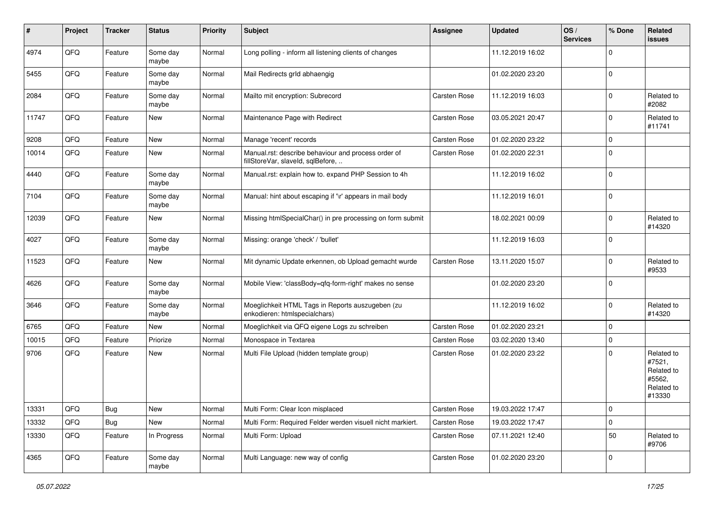| #     | Project | <b>Tracker</b> | <b>Status</b>     | <b>Priority</b> | <b>Subject</b>                                                                           | Assignee            | <b>Updated</b>   | OS/<br><b>Services</b> | % Done      | Related<br>issues                                                    |
|-------|---------|----------------|-------------------|-----------------|------------------------------------------------------------------------------------------|---------------------|------------------|------------------------|-------------|----------------------------------------------------------------------|
| 4974  | QFQ     | Feature        | Some day<br>maybe | Normal          | Long polling - inform all listening clients of changes                                   |                     | 11.12.2019 16:02 |                        | $\Omega$    |                                                                      |
| 5455  | QFQ     | Feature        | Some day<br>maybe | Normal          | Mail Redirects grld abhaengig                                                            |                     | 01.02.2020 23:20 |                        | 0           |                                                                      |
| 2084  | QFQ     | Feature        | Some day<br>maybe | Normal          | Mailto mit encryption: Subrecord                                                         | Carsten Rose        | 11.12.2019 16:03 |                        | $\Omega$    | Related to<br>#2082                                                  |
| 11747 | QFQ     | Feature        | New               | Normal          | Maintenance Page with Redirect                                                           | <b>Carsten Rose</b> | 03.05.2021 20:47 |                        | 0           | Related to<br>#11741                                                 |
| 9208  | QFQ     | Feature        | <b>New</b>        | Normal          | Manage 'recent' records                                                                  | Carsten Rose        | 01.02.2020 23:22 |                        | $\mathbf 0$ |                                                                      |
| 10014 | QFQ     | Feature        | New               | Normal          | Manual.rst: describe behaviour and process order of<br>fillStoreVar, slaveId, sqlBefore, | Carsten Rose        | 01.02.2020 22:31 |                        | $\Omega$    |                                                                      |
| 4440  | QFQ     | Feature        | Some day<br>maybe | Normal          | Manual.rst: explain how to. expand PHP Session to 4h                                     |                     | 11.12.2019 16:02 |                        | 0           |                                                                      |
| 7104  | QFQ     | Feature        | Some day<br>maybe | Normal          | Manual: hint about escaping if '\r' appears in mail body                                 |                     | 11.12.2019 16:01 |                        | 0           |                                                                      |
| 12039 | QFQ     | Feature        | New               | Normal          | Missing htmlSpecialChar() in pre processing on form submit                               |                     | 18.02.2021 00:09 |                        | $\Omega$    | Related to<br>#14320                                                 |
| 4027  | QFQ     | Feature        | Some day<br>maybe | Normal          | Missing: orange 'check' / 'bullet'                                                       |                     | 11.12.2019 16:03 |                        | $\mathbf 0$ |                                                                      |
| 11523 | QFQ     | Feature        | <b>New</b>        | Normal          | Mit dynamic Update erkennen, ob Upload gemacht wurde                                     | <b>Carsten Rose</b> | 13.11.2020 15:07 |                        | $\Omega$    | Related to<br>#9533                                                  |
| 4626  | QFQ     | Feature        | Some day<br>maybe | Normal          | Mobile View: 'classBody=qfq-form-right' makes no sense                                   |                     | 01.02.2020 23:20 |                        | $\Omega$    |                                                                      |
| 3646  | QFQ     | Feature        | Some day<br>maybe | Normal          | Moeglichkeit HTML Tags in Reports auszugeben (zu<br>enkodieren: htmlspecialchars)        |                     | 11.12.2019 16:02 |                        | $\Omega$    | Related to<br>#14320                                                 |
| 6765  | QFQ     | Feature        | <b>New</b>        | Normal          | Moeglichkeit via QFQ eigene Logs zu schreiben                                            | Carsten Rose        | 01.02.2020 23:21 |                        | $\Omega$    |                                                                      |
| 10015 | QFQ     | Feature        | Priorize          | Normal          | Monospace in Textarea                                                                    | <b>Carsten Rose</b> | 03.02.2020 13:40 |                        | $\mathbf 0$ |                                                                      |
| 9706  | QFQ     | Feature        | New               | Normal          | Multi File Upload (hidden template group)                                                | <b>Carsten Rose</b> | 01.02.2020 23:22 |                        | $\Omega$    | Related to<br>#7521,<br>Related to<br>#5562,<br>Related to<br>#13330 |
| 13331 | QFQ     | <b>Bug</b>     | New               | Normal          | Multi Form: Clear Icon misplaced                                                         | Carsten Rose        | 19.03.2022 17:47 |                        | 0           |                                                                      |
| 13332 | QFQ     | <b>Bug</b>     | New               | Normal          | Multi Form: Required Felder werden visuell nicht markiert.                               | Carsten Rose        | 19.03.2022 17:47 |                        | $\mathbf 0$ |                                                                      |
| 13330 | QFQ     | Feature        | In Progress       | Normal          | Multi Form: Upload                                                                       | Carsten Rose        | 07.11.2021 12:40 |                        | 50          | Related to<br>#9706                                                  |
| 4365  | QFQ     | Feature        | Some day<br>maybe | Normal          | Multi Language: new way of config                                                        | Carsten Rose        | 01.02.2020 23:20 |                        | 0           |                                                                      |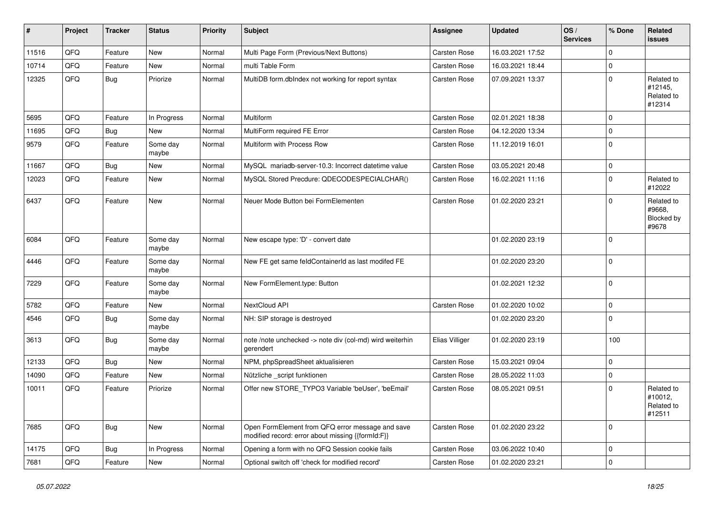| $\vert$ # | Project        | <b>Tracker</b> | <b>Status</b>     | <b>Priority</b> | <b>Subject</b>                                                                                        | Assignee            | <b>Updated</b>   | OS/<br><b>Services</b> | % Done       | Related<br>issues                             |
|-----------|----------------|----------------|-------------------|-----------------|-------------------------------------------------------------------------------------------------------|---------------------|------------------|------------------------|--------------|-----------------------------------------------|
| 11516     | QFQ            | Feature        | New               | Normal          | Multi Page Form (Previous/Next Buttons)                                                               | Carsten Rose        | 16.03.2021 17:52 |                        | 0            |                                               |
| 10714     | QFQ            | Feature        | New               | Normal          | multi Table Form                                                                                      | Carsten Rose        | 16.03.2021 18:44 |                        | 0            |                                               |
| 12325     | QFQ            | <b>Bug</b>     | Priorize          | Normal          | MultiDB form.dblndex not working for report syntax                                                    | Carsten Rose        | 07.09.2021 13:37 |                        | $\Omega$     | Related to<br>#12145,<br>Related to<br>#12314 |
| 5695      | QFQ            | Feature        | In Progress       | Normal          | Multiform                                                                                             | Carsten Rose        | 02.01.2021 18:38 |                        | $\mathbf 0$  |                                               |
| 11695     | QFQ            | Bug            | New               | Normal          | MultiForm required FE Error                                                                           | Carsten Rose        | 04.12.2020 13:34 |                        | 0            |                                               |
| 9579      | QFQ            | Feature        | Some day<br>maybe | Normal          | Multiform with Process Row                                                                            | Carsten Rose        | 11.12.2019 16:01 |                        | 0            |                                               |
| 11667     | QFQ            | Bug            | <b>New</b>        | Normal          | MySQL mariadb-server-10.3: Incorrect datetime value                                                   | Carsten Rose        | 03.05.2021 20:48 |                        | $\mathbf 0$  |                                               |
| 12023     | QFQ            | Feature        | <b>New</b>        | Normal          | MySQL Stored Precdure: QDECODESPECIALCHAR()                                                           | Carsten Rose        | 16.02.2021 11:16 |                        | $\Omega$     | Related to<br>#12022                          |
| 6437      | QFQ            | Feature        | New               | Normal          | Neuer Mode Button bei FormElementen                                                                   | Carsten Rose        | 01.02.2020 23:21 |                        | $\Omega$     | Related to<br>#9668,<br>Blocked by<br>#9678   |
| 6084      | QFQ            | Feature        | Some day<br>maybe | Normal          | New escape type: 'D' - convert date                                                                   |                     | 01.02.2020 23:19 |                        | $\Omega$     |                                               |
| 4446      | QFQ            | Feature        | Some day<br>maybe | Normal          | New FE get same feldContainerId as last modifed FE                                                    |                     | 01.02.2020 23:20 |                        | $\mathbf 0$  |                                               |
| 7229      | QFQ            | Feature        | Some day<br>maybe | Normal          | New FormElement.type: Button                                                                          |                     | 01.02.2021 12:32 |                        | $\Omega$     |                                               |
| 5782      | QFQ            | Feature        | New               | Normal          | NextCloud API                                                                                         | Carsten Rose        | 01.02.2020 10:02 |                        | $\mathbf 0$  |                                               |
| 4546      | QFQ            | Bug            | Some day<br>maybe | Normal          | NH: SIP storage is destroyed                                                                          |                     | 01.02.2020 23:20 |                        | $\mathbf 0$  |                                               |
| 3613      | QFQ            | Bug            | Some day<br>maybe | Normal          | note /note unchecked -> note div (col-md) wird weiterhin<br>gerendert                                 | Elias Villiger      | 01.02.2020 23:19 |                        | 100          |                                               |
| 12133     | QFQ            | <b>Bug</b>     | New               | Normal          | NPM, phpSpreadSheet aktualisieren                                                                     | Carsten Rose        | 15.03.2021 09:04 |                        | $\mathbf 0$  |                                               |
| 14090     | QFQ            | Feature        | New               | Normal          | Nützliche _script funktionen                                                                          | Carsten Rose        | 28.05.2022 11:03 |                        | 0            |                                               |
| 10011     | QFQ            | Feature        | Priorize          | Normal          | Offer new STORE_TYPO3 Variable 'beUser', 'beEmail'                                                    | <b>Carsten Rose</b> | 08.05.2021 09:51 |                        | $\Omega$     | Related to<br>#10012,<br>Related to<br>#12511 |
| 7685      | QFQ            | <b>Bug</b>     | New               | Normal          | Open FormElement from QFQ error message and save<br>modified record: error about missing {{formId:F}} | Carsten Rose        | 01.02.2020 23:22 |                        | $\mathbf{0}$ |                                               |
| 14175     | QFQ            | <b>Bug</b>     | In Progress       | Normal          | Opening a form with no QFQ Session cookie fails                                                       | Carsten Rose        | 03.06.2022 10:40 |                        | 0            |                                               |
| 7681      | $\mathsf{QFQ}$ | Feature        | New               | Normal          | Optional switch off 'check for modified record'                                                       | Carsten Rose        | 01.02.2020 23:21 |                        | $\mathbf 0$  |                                               |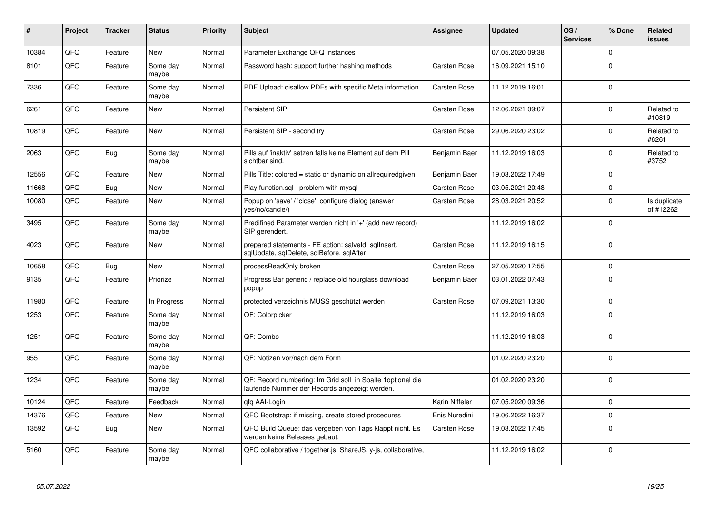| #     | Project | <b>Tracker</b> | <b>Status</b>     | <b>Priority</b> | <b>Subject</b>                                                                                               | Assignee            | <b>Updated</b>   | OS/<br><b>Services</b> | % Done         | Related<br><b>issues</b>  |
|-------|---------|----------------|-------------------|-----------------|--------------------------------------------------------------------------------------------------------------|---------------------|------------------|------------------------|----------------|---------------------------|
| 10384 | QFQ     | Feature        | <b>New</b>        | Normal          | Parameter Exchange QFQ Instances                                                                             |                     | 07.05.2020 09:38 |                        | $\mathbf{0}$   |                           |
| 8101  | QFQ     | Feature        | Some day<br>maybe | Normal          | Password hash: support further hashing methods                                                               | Carsten Rose        | 16.09.2021 15:10 |                        | $\mathbf{0}$   |                           |
| 7336  | QFQ     | Feature        | Some day<br>maybe | Normal          | PDF Upload: disallow PDFs with specific Meta information                                                     | Carsten Rose        | 11.12.2019 16:01 |                        | $\Omega$       |                           |
| 6261  | QFQ     | Feature        | New               | Normal          | Persistent SIP                                                                                               | Carsten Rose        | 12.06.2021 09:07 |                        | $\mathbf 0$    | Related to<br>#10819      |
| 10819 | QFQ     | Feature        | <b>New</b>        | Normal          | Persistent SIP - second try                                                                                  | Carsten Rose        | 29.06.2020 23:02 |                        | $\Omega$       | Related to<br>#6261       |
| 2063  | QFQ     | <b>Bug</b>     | Some day<br>maybe | Normal          | Pills auf 'inaktiv' setzen falls keine Element auf dem Pill<br>sichtbar sind.                                | Benjamin Baer       | 11.12.2019 16:03 |                        | $\Omega$       | Related to<br>#3752       |
| 12556 | QFQ     | Feature        | New               | Normal          | Pills Title: colored = static or dynamic on allrequiredgiven                                                 | Benjamin Baer       | 19.03.2022 17:49 |                        | $\mathbf 0$    |                           |
| 11668 | QFQ     | <b>Bug</b>     | New               | Normal          | Play function.sql - problem with mysql                                                                       | Carsten Rose        | 03.05.2021 20:48 |                        | $\Omega$       |                           |
| 10080 | QFQ     | Feature        | New               | Normal          | Popup on 'save' / 'close': configure dialog (answer<br>yes/no/cancle/)                                       | Carsten Rose        | 28.03.2021 20:52 |                        | $\mathbf{0}$   | Is duplicate<br>of #12262 |
| 3495  | QFQ     | Feature        | Some day<br>maybe | Normal          | Predifined Parameter werden nicht in '+' (add new record)<br>SIP gerendert.                                  |                     | 11.12.2019 16:02 |                        | $\mathbf 0$    |                           |
| 4023  | QFQ     | Feature        | <b>New</b>        | Normal          | prepared statements - FE action: salveld, sqllnsert,<br>sqlUpdate, sqlDelete, sqlBefore, sqlAfter            | Carsten Rose        | 11.12.2019 16:15 |                        | $\overline{0}$ |                           |
| 10658 | QFQ     | Bug            | <b>New</b>        | Normal          | processReadOnly broken                                                                                       | Carsten Rose        | 27.05.2020 17:55 |                        | $\mathbf{0}$   |                           |
| 9135  | QFQ     | Feature        | Priorize          | Normal          | Progress Bar generic / replace old hourglass download<br>popup                                               | Benjamin Baer       | 03.01.2022 07:43 |                        | $\Omega$       |                           |
| 11980 | QFQ     | Feature        | In Progress       | Normal          | protected verzeichnis MUSS geschützt werden                                                                  | Carsten Rose        | 07.09.2021 13:30 |                        | $\mathbf 0$    |                           |
| 1253  | QFQ     | Feature        | Some day<br>maybe | Normal          | QF: Colorpicker                                                                                              |                     | 11.12.2019 16:03 |                        | $\mathbf{0}$   |                           |
| 1251  | QFQ     | Feature        | Some day<br>maybe | Normal          | QF: Combo                                                                                                    |                     | 11.12.2019 16:03 |                        | $\Omega$       |                           |
| 955   | QFQ     | Feature        | Some day<br>maybe | Normal          | QF: Notizen vor/nach dem Form                                                                                |                     | 01.02.2020 23:20 |                        | $\Omega$       |                           |
| 1234  | QFQ     | Feature        | Some day<br>maybe | Normal          | QF: Record numbering: Im Grid soll in Spalte 1 optional die<br>laufende Nummer der Records angezeigt werden. |                     | 01.02.2020 23:20 |                        | $\mathbf 0$    |                           |
| 10124 | QFQ     | Feature        | Feedback          | Normal          | qfq AAI-Login                                                                                                | Karin Niffeler      | 07.05.2020 09:36 |                        | $\Omega$       |                           |
| 14376 | QFQ     | Feature        | New               | Normal          | QFQ Bootstrap: if missing, create stored procedures                                                          | Enis Nuredini       | 19.06.2022 16:37 |                        | $\mathbf 0$    |                           |
| 13592 | QFQ     | <b>Bug</b>     | New               | Normal          | QFQ Build Queue: das vergeben von Tags klappt nicht. Es<br>werden keine Releases gebaut.                     | <b>Carsten Rose</b> | 19.03.2022 17:45 |                        | $\Omega$       |                           |
| 5160  | QFQ     | Feature        | Some day<br>maybe | Normal          | QFQ collaborative / together.js, ShareJS, y-js, collaborative,                                               |                     | 11.12.2019 16:02 |                        | $\Omega$       |                           |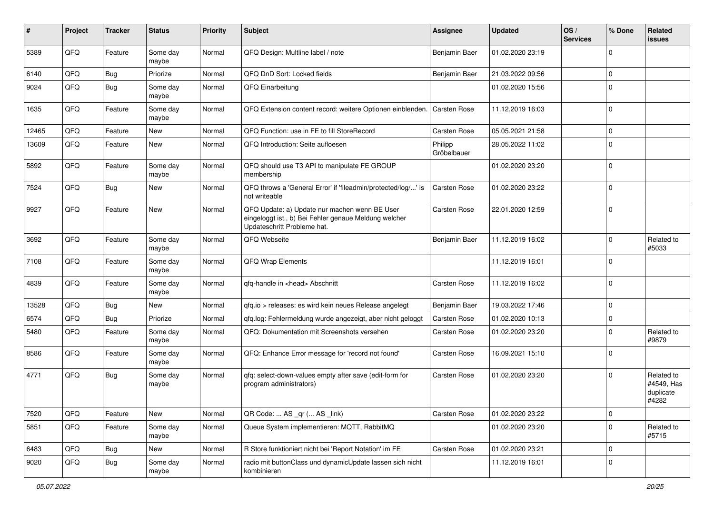| #     | Project | <b>Tracker</b> | <b>Status</b>     | <b>Priority</b> | <b>Subject</b>                                                                                                                        | Assignee               | <b>Updated</b>   | OS/<br><b>Services</b> | % Done         | Related<br>issues                              |
|-------|---------|----------------|-------------------|-----------------|---------------------------------------------------------------------------------------------------------------------------------------|------------------------|------------------|------------------------|----------------|------------------------------------------------|
| 5389  | QFQ     | Feature        | Some day<br>maybe | Normal          | QFQ Design: Multline label / note                                                                                                     | Benjamin Baer          | 01.02.2020 23:19 |                        | $\Omega$       |                                                |
| 6140  | QFQ     | <b>Bug</b>     | Priorize          | Normal          | QFQ DnD Sort: Locked fields                                                                                                           | Benjamin Baer          | 21.03.2022 09:56 |                        | 0              |                                                |
| 9024  | QFQ     | <b>Bug</b>     | Some day<br>maybe | Normal          | QFQ Einarbeitung                                                                                                                      |                        | 01.02.2020 15:56 |                        | $\Omega$       |                                                |
| 1635  | QFQ     | Feature        | Some day<br>maybe | Normal          | QFQ Extension content record: weitere Optionen einblenden.                                                                            | <b>Carsten Rose</b>    | 11.12.2019 16:03 |                        | $\overline{0}$ |                                                |
| 12465 | QFQ     | Feature        | New               | Normal          | QFQ Function: use in FE to fill StoreRecord                                                                                           | Carsten Rose           | 05.05.2021 21:58 |                        | $\Omega$       |                                                |
| 13609 | QFQ     | Feature        | New               | Normal          | QFQ Introduction: Seite aufloesen                                                                                                     | Philipp<br>Gröbelbauer | 28.05.2022 11:02 |                        | $\mathbf 0$    |                                                |
| 5892  | QFQ     | Feature        | Some day<br>maybe | Normal          | QFQ should use T3 API to manipulate FE GROUP<br>membership                                                                            |                        | 01.02.2020 23:20 |                        | $\mathbf 0$    |                                                |
| 7524  | QFQ     | <b>Bug</b>     | New               | Normal          | QFQ throws a 'General Error' if 'fileadmin/protected/log/' is<br>not writeable                                                        | Carsten Rose           | 01.02.2020 23:22 |                        | $\Omega$       |                                                |
| 9927  | QFQ     | Feature        | <b>New</b>        | Normal          | QFQ Update: a) Update nur machen wenn BE User<br>eingeloggt ist., b) Bei Fehler genaue Meldung welcher<br>Updateschritt Probleme hat. | <b>Carsten Rose</b>    | 22.01.2020 12:59 |                        | $\Omega$       |                                                |
| 3692  | QFQ     | Feature        | Some day<br>maybe | Normal          | QFQ Webseite                                                                                                                          | Benjamin Baer          | 11.12.2019 16:02 |                        | $\Omega$       | Related to<br>#5033                            |
| 7108  | QFQ     | Feature        | Some day<br>maybe | Normal          | QFQ Wrap Elements                                                                                                                     |                        | 11.12.2019 16:01 |                        | $\Omega$       |                                                |
| 4839  | QFQ     | Feature        | Some day<br>maybe | Normal          | qfq-handle in <head> Abschnitt</head>                                                                                                 | Carsten Rose           | 11.12.2019 16:02 |                        | $\Omega$       |                                                |
| 13528 | QFQ     | Bug            | New               | Normal          | qfq.io > releases: es wird kein neues Release angelegt                                                                                | Benjamin Baer          | 19.03.2022 17:46 |                        | $\Omega$       |                                                |
| 6574  | QFQ     | Bug            | Priorize          | Normal          | qfq.log: Fehlermeldung wurde angezeigt, aber nicht geloggt                                                                            | <b>Carsten Rose</b>    | 01.02.2020 10:13 |                        | $\Omega$       |                                                |
| 5480  | QFQ     | Feature        | Some day<br>maybe | Normal          | QFQ: Dokumentation mit Screenshots versehen                                                                                           | <b>Carsten Rose</b>    | 01.02.2020 23:20 |                        | $\Omega$       | Related to<br>#9879                            |
| 8586  | QFQ     | Feature        | Some day<br>maybe | Normal          | QFQ: Enhance Error message for 'record not found'                                                                                     | Carsten Rose           | 16.09.2021 15:10 |                        | $\Omega$       |                                                |
| 4771  | QFQ     | Bug            | Some day<br>maybe | Normal          | qfq: select-down-values empty after save (edit-form for<br>program administrators)                                                    | Carsten Rose           | 01.02.2020 23:20 |                        | $\Omega$       | Related to<br>#4549, Has<br>duplicate<br>#4282 |
| 7520  | QFQ     | Feature        | New               | Normal          | QR Code:  AS _qr ( AS _link)                                                                                                          | Carsten Rose           | 01.02.2020 23:22 |                        | $\overline{0}$ |                                                |
| 5851  | QFQ     | Feature        | Some day<br>maybe | Normal          | Queue System implementieren: MQTT, RabbitMQ                                                                                           |                        | 01.02.2020 23:20 |                        | $\Omega$       | Related to<br>#5715                            |
| 6483  | QFQ     | <b>Bug</b>     | New               | Normal          | R Store funktioniert nicht bei 'Report Notation' im FE                                                                                | Carsten Rose           | 01.02.2020 23:21 |                        | $\mathbf 0$    |                                                |
| 9020  | QFQ     | <b>Bug</b>     | Some day<br>maybe | Normal          | radio mit buttonClass und dynamicUpdate lassen sich nicht<br>kombinieren                                                              |                        | 11.12.2019 16:01 |                        | $\mathbf 0$    |                                                |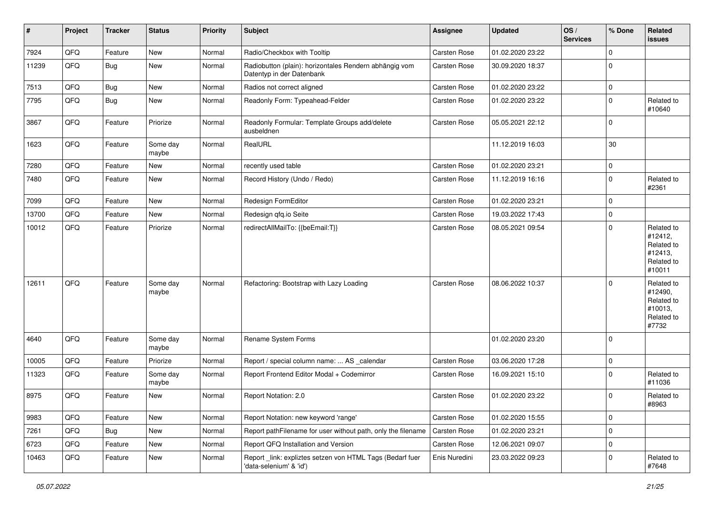| #     | Project | <b>Tracker</b> | <b>Status</b>     | <b>Priority</b> | Subject                                                                             | <b>Assignee</b>     | <b>Updated</b>   | OS/<br><b>Services</b> | % Done         | Related<br>issues                                                      |
|-------|---------|----------------|-------------------|-----------------|-------------------------------------------------------------------------------------|---------------------|------------------|------------------------|----------------|------------------------------------------------------------------------|
| 7924  | QFQ     | Feature        | New               | Normal          | Radio/Checkbox with Tooltip                                                         | Carsten Rose        | 01.02.2020 23:22 |                        | $\Omega$       |                                                                        |
| 11239 | QFQ     | Bug            | New               | Normal          | Radiobutton (plain): horizontales Rendern abhängig vom<br>Datentyp in der Datenbank | Carsten Rose        | 30.09.2020 18:37 |                        | $\mathbf 0$    |                                                                        |
| 7513  | QFQ     | Bug            | New               | Normal          | Radios not correct aligned                                                          | Carsten Rose        | 01.02.2020 23:22 |                        | $\mathbf{0}$   |                                                                        |
| 7795  | QFQ     | Bug            | <b>New</b>        | Normal          | Readonly Form: Typeahead-Felder                                                     | Carsten Rose        | 01.02.2020 23:22 |                        | $\mathbf 0$    | Related to<br>#10640                                                   |
| 3867  | QFQ     | Feature        | Priorize          | Normal          | Readonly Formular: Template Groups add/delete<br>ausbeldnen                         | Carsten Rose        | 05.05.2021 22:12 |                        | $\overline{0}$ |                                                                        |
| 1623  | QFQ     | Feature        | Some day<br>maybe | Normal          | RealURL                                                                             |                     | 11.12.2019 16:03 |                        | 30             |                                                                        |
| 7280  | QFQ     | Feature        | <b>New</b>        | Normal          | recently used table                                                                 | Carsten Rose        | 01.02.2020 23:21 |                        | $\mathbf 0$    |                                                                        |
| 7480  | QFQ     | Feature        | <b>New</b>        | Normal          | Record History (Undo / Redo)                                                        | Carsten Rose        | 11.12.2019 16:16 |                        | $\mathbf 0$    | Related to<br>#2361                                                    |
| 7099  | QFQ     | Feature        | New               | Normal          | Redesign FormEditor                                                                 | Carsten Rose        | 01.02.2020 23:21 |                        | $\Omega$       |                                                                        |
| 13700 | QFQ     | Feature        | <b>New</b>        | Normal          | Redesign qfq.io Seite                                                               | Carsten Rose        | 19.03.2022 17:43 |                        | $\mathbf 0$    |                                                                        |
| 10012 | QFQ     | Feature        | Priorize          | Normal          | redirectAllMailTo: {{beEmail:T}}                                                    | Carsten Rose        | 08.05.2021 09:54 |                        | $\Omega$       | Related to<br>#12412,<br>Related to<br>#12413,<br>Related to<br>#10011 |
| 12611 | QFQ     | Feature        | Some day<br>maybe | Normal          | Refactoring: Bootstrap with Lazy Loading                                            | <b>Carsten Rose</b> | 08.06.2022 10:37 |                        | $\Omega$       | Related to<br>#12490,<br>Related to<br>#10013,<br>Related to<br>#7732  |
| 4640  | QFQ     | Feature        | Some day<br>maybe | Normal          | Rename System Forms                                                                 |                     | 01.02.2020 23:20 |                        | $\overline{0}$ |                                                                        |
| 10005 | QFQ     | Feature        | Priorize          | Normal          | Report / special column name:  AS _calendar                                         | Carsten Rose        | 03.06.2020 17:28 |                        | $\overline{0}$ |                                                                        |
| 11323 | QFQ     | Feature        | Some day<br>maybe | Normal          | Report Frontend Editor Modal + Codemirror                                           | Carsten Rose        | 16.09.2021 15:10 |                        | $\mathbf 0$    | Related to<br>#11036                                                   |
| 8975  | QFQ     | Feature        | New               | Normal          | Report Notation: 2.0                                                                | Carsten Rose        | 01.02.2020 23:22 |                        | $\Omega$       | Related to<br>#8963                                                    |
| 9983  | QFQ     | Feature        | New               | Normal          | Report Notation: new keyword 'range'                                                | Carsten Rose        | 01.02.2020 15:55 |                        | $\mathbf 0$    |                                                                        |
| 7261  | QFQ     | <b>Bug</b>     | New               | Normal          | Report pathFilename for user without path, only the filename                        | Carsten Rose        | 01.02.2020 23:21 |                        | $\mathbf 0$    |                                                                        |
| 6723  | QFQ     | Feature        | New               | Normal          | Report QFQ Installation and Version                                                 | Carsten Rose        | 12.06.2021 09:07 |                        | $\mathbf 0$    |                                                                        |
| 10463 | QFQ     | Feature        | New               | Normal          | Report_link: expliztes setzen von HTML Tags (Bedarf fuer<br>'data-selenium' & 'id') | Enis Nuredini       | 23.03.2022 09:23 |                        | 0              | Related to<br>#7648                                                    |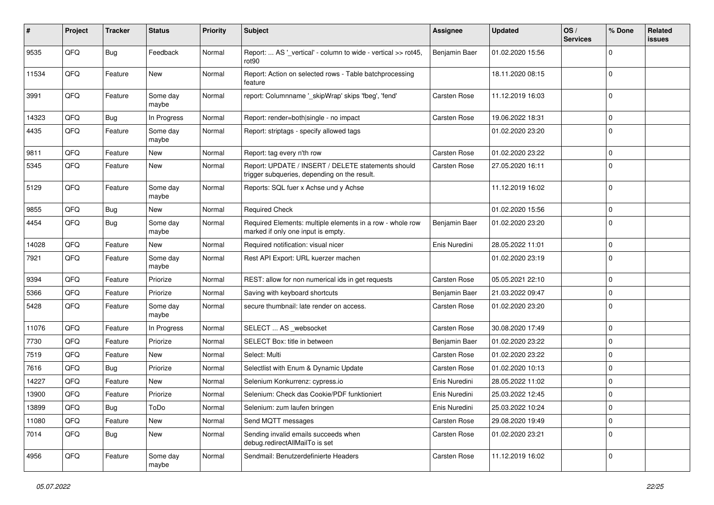| #     | Project | <b>Tracker</b> | <b>Status</b>     | <b>Priority</b> | <b>Subject</b>                                                                                     | Assignee            | <b>Updated</b>   | OS/<br><b>Services</b> | % Done         | Related<br>issues |
|-------|---------|----------------|-------------------|-----------------|----------------------------------------------------------------------------------------------------|---------------------|------------------|------------------------|----------------|-------------------|
| 9535  | QFQ     | Bug            | Feedback          | Normal          | Report:  AS '_vertical' - column to wide - vertical >> rot45,<br>rot90                             | Benjamin Baer       | 01.02.2020 15:56 |                        | $\Omega$       |                   |
| 11534 | QFQ     | Feature        | New               | Normal          | Report: Action on selected rows - Table batchprocessing<br>feature                                 |                     | 18.11.2020 08:15 |                        | $\mathbf 0$    |                   |
| 3991  | QFQ     | Feature        | Some day<br>maybe | Normal          | report: Columnname '_skipWrap' skips 'fbeg', 'fend'                                                | Carsten Rose        | 11.12.2019 16:03 |                        | $\Omega$       |                   |
| 14323 | QFQ     | <b>Bug</b>     | In Progress       | Normal          | Report: render=both single - no impact                                                             | Carsten Rose        | 19.06.2022 18:31 |                        | $\mathbf 0$    |                   |
| 4435  | QFQ     | Feature        | Some day<br>maybe | Normal          | Report: striptags - specify allowed tags                                                           |                     | 01.02.2020 23:20 |                        | $\Omega$       |                   |
| 9811  | QFQ     | Feature        | New               | Normal          | Report: tag every n'th row                                                                         | Carsten Rose        | 01.02.2020 23:22 |                        | $\mathbf 0$    |                   |
| 5345  | QFQ     | Feature        | New               | Normal          | Report: UPDATE / INSERT / DELETE statements should<br>trigger subqueries, depending on the result. | <b>Carsten Rose</b> | 27.05.2020 16:11 |                        | $\Omega$       |                   |
| 5129  | QFQ     | Feature        | Some day<br>maybe | Normal          | Reports: SQL fuer x Achse und y Achse                                                              |                     | 11.12.2019 16:02 |                        | $\overline{0}$ |                   |
| 9855  | QFQ     | <b>Bug</b>     | New               | Normal          | <b>Required Check</b>                                                                              |                     | 01.02.2020 15:56 |                        | $\mathbf 0$    |                   |
| 4454  | QFQ     | <b>Bug</b>     | Some day<br>maybe | Normal          | Required Elements: multiple elements in a row - whole row<br>marked if only one input is empty.    | Benjamin Baer       | 01.02.2020 23:20 |                        | $\Omega$       |                   |
| 14028 | QFQ     | Feature        | <b>New</b>        | Normal          | Required notification: visual nicer                                                                | Enis Nuredini       | 28.05.2022 11:01 |                        | $\mathbf 0$    |                   |
| 7921  | QFQ     | Feature        | Some day<br>maybe | Normal          | Rest API Export: URL kuerzer machen                                                                |                     | 01.02.2020 23:19 |                        | $\overline{0}$ |                   |
| 9394  | QFQ     | Feature        | Priorize          | Normal          | REST: allow for non numerical ids in get requests                                                  | Carsten Rose        | 05.05.2021 22:10 |                        | $\mathbf 0$    |                   |
| 5366  | QFQ     | Feature        | Priorize          | Normal          | Saving with keyboard shortcuts                                                                     | Benjamin Baer       | 21.03.2022 09:47 |                        | $\mathbf 0$    |                   |
| 5428  | QFQ     | Feature        | Some day<br>maybe | Normal          | secure thumbnail: late render on access.                                                           | Carsten Rose        | 01.02.2020 23:20 |                        | $\overline{0}$ |                   |
| 11076 | QFQ     | Feature        | In Progress       | Normal          | SELECT  AS _websocket                                                                              | Carsten Rose        | 30.08.2020 17:49 |                        | $\overline{0}$ |                   |
| 7730  | QFQ     | Feature        | Priorize          | Normal          | SELECT Box: title in between                                                                       | Benjamin Baer       | 01.02.2020 23:22 |                        | $\mathbf 0$    |                   |
| 7519  | QFQ     | Feature        | New               | Normal          | Select: Multi                                                                                      | Carsten Rose        | 01.02.2020 23:22 |                        | $\Omega$       |                   |
| 7616  | QFQ     | Bug            | Priorize          | Normal          | Selectlist with Enum & Dynamic Update                                                              | Carsten Rose        | 01.02.2020 10:13 |                        | $\mathbf 0$    |                   |
| 14227 | QFQ     | Feature        | <b>New</b>        | Normal          | Selenium Konkurrenz: cypress.io                                                                    | Enis Nuredini       | 28.05.2022 11:02 |                        | $\mathbf 0$    |                   |
| 13900 | QFQ     | Feature        | Priorize          | Normal          | Selenium: Check das Cookie/PDF funktioniert                                                        | Enis Nuredini       | 25.03.2022 12:45 |                        | $\mathbf 0$    |                   |
| 13899 | QFQ     | Bug            | ToDo              | Normal          | Selenium: zum laufen bringen                                                                       | Enis Nuredini       | 25.03.2022 10:24 |                        | 0              |                   |
| 11080 | QFQ     | Feature        | New               | Normal          | Send MQTT messages                                                                                 | Carsten Rose        | 29.08.2020 19:49 |                        | $\mathbf 0$    |                   |
| 7014  | QFQ     | <b>Bug</b>     | New               | Normal          | Sending invalid emails succeeds when<br>debug.redirectAllMailTo is set                             | <b>Carsten Rose</b> | 01.02.2020 23:21 |                        | $\overline{0}$ |                   |
| 4956  | QFQ     | Feature        | Some day<br>maybe | Normal          | Sendmail: Benutzerdefinierte Headers                                                               | Carsten Rose        | 11.12.2019 16:02 |                        | 0              |                   |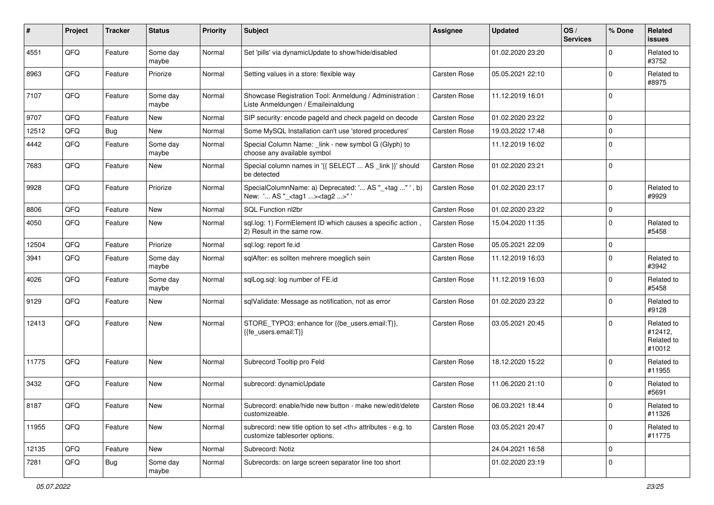| #     | Project | <b>Tracker</b> | <b>Status</b>     | <b>Priority</b> | <b>Subject</b>                                                                                       | <b>Assignee</b>                                        | <b>Updated</b>   | OS/<br><b>Services</b> | % Done      | Related<br><b>issues</b>                      |                      |
|-------|---------|----------------|-------------------|-----------------|------------------------------------------------------------------------------------------------------|--------------------------------------------------------|------------------|------------------------|-------------|-----------------------------------------------|----------------------|
| 4551  | QFQ     | Feature        | Some day<br>maybe | Normal          | Set 'pills' via dynamicUpdate to show/hide/disabled                                                  |                                                        | 01.02.2020 23:20 |                        | $\Omega$    | Related to<br>#3752                           |                      |
| 8963  | QFQ     | Feature        | Priorize          | Normal          | Setting values in a store: flexible way                                                              | Carsten Rose                                           | 05.05.2021 22:10 |                        | $\Omega$    | Related to<br>#8975                           |                      |
| 7107  | QFQ     | Feature        | Some day<br>maybe | Normal          | Showcase Registration Tool: Anmeldung / Administration :<br>Liste Anmeldungen / Emaileinaldung       | Carsten Rose                                           | 11.12.2019 16:01 |                        | $\Omega$    |                                               |                      |
| 9707  | QFQ     | Feature        | New               | Normal          | SIP security: encode pageld and check pageld on decode                                               | Carsten Rose                                           | 01.02.2020 23:22 |                        | $\mathbf 0$ |                                               |                      |
| 12512 | QFQ     | Bug            | New               | Normal          | Some MySQL Installation can't use 'stored procedures'                                                | Carsten Rose                                           | 19.03.2022 17:48 |                        | $\Omega$    |                                               |                      |
| 4442  | QFQ     | Feature        | Some day<br>maybe | Normal          | Special Column Name: _link - new symbol G (Glyph) to<br>choose any available symbol                  |                                                        | 11.12.2019 16:02 |                        | $\mathbf 0$ |                                               |                      |
| 7683  | QFQ     | Feature        | New               | Normal          | Special column names in '{{ SELECT  AS _link }}' should<br>be detected                               | Carsten Rose                                           | 01.02.2020 23:21 |                        | $\Omega$    |                                               |                      |
| 9928  | QFQ     | Feature        | Priorize          | Normal          | SpecialColumnName: a) Deprecated: ' AS "_+tag " ', b)<br>New: ' AS "_ <tag1><tag2>"</tag2></tag1>    | Carsten Rose                                           | 01.02.2020 23:17 |                        | $\mathbf 0$ | Related to<br>#9929                           |                      |
| 8806  | QFQ     | Feature        | <b>New</b>        | Normal          | SQL Function nl2br                                                                                   | Carsten Rose                                           | 01.02.2020 23:22 |                        | $\mathbf 0$ |                                               |                      |
| 4050  | QFQ     | Feature        | New               | Normal          | sql.log: 1) FormElement ID which causes a specific action,<br>2) Result in the same row.             | Carsten Rose                                           | 15.04.2020 11:35 |                        | $\Omega$    | Related to<br>#5458                           |                      |
| 12504 | QFQ     | Feature        | Priorize          | Normal          | sql.log: report fe.id                                                                                | Carsten Rose                                           | 05.05.2021 22:09 |                        | $\mathbf 0$ |                                               |                      |
| 3941  | QFQ     | Feature        | Some day<br>maybe | Normal          | sqlAfter: es sollten mehrere moeglich sein                                                           | Carsten Rose                                           | 11.12.2019 16:03 |                        | $\Omega$    | Related to<br>#3942                           |                      |
| 4026  | QFQ     | Feature        | Some day<br>maybe | Normal          | sqlLog.sql: log number of FE.id                                                                      | Carsten Rose                                           | 11.12.2019 16:03 |                        | $\Omega$    | Related to<br>#5458                           |                      |
| 9129  | QFQ     | Feature        | New               | Normal          | sqlValidate: Message as notification, not as error                                                   | Carsten Rose                                           | 01.02.2020 23:22 |                        | $\mathbf 0$ | Related to<br>#9128                           |                      |
| 12413 | QFQ     | Feature        | New               | Normal          | STORE_TYPO3: enhance for {{be_users.email:T}},<br>{{fe_users.email:T}}                               | Carsten Rose                                           | 03.05.2021 20:45 |                        | $\Omega$    | Related to<br>#12412,<br>Related to<br>#10012 |                      |
| 11775 | QFQ     | Feature        | <b>New</b>        | Normal          | Subrecord Tooltip pro Feld                                                                           | Carsten Rose                                           | 18.12.2020 15:22 |                        | $\Omega$    | Related to<br>#11955                          |                      |
| 3432  | QFQ     | Feature        | New               | Normal          | subrecord: dynamicUpdate                                                                             | Carsten Rose                                           | 11.06.2020 21:10 |                        | $\mathbf 0$ | Related to<br>#5691                           |                      |
| 8187  | QFQ     | Feature        | New               | Normal          | Subrecord: enable/hide new button - make new/edit/delete<br>customizeable.                           | Carsten Rose                                           | 06.03.2021 18:44 |                        | O           | Related to<br>#11326                          |                      |
| 11955 | QFQ     | Feature        | New               | Normal          | subrecord: new title option to set <th> attributes - e.g. to<br/>customize tablesorter options.</th> | attributes - e.g. to<br>customize tablesorter options. | Carsten Rose     | 03.05.2021 20:47       |             | $\mathbf 0$                                   | Related to<br>#11775 |
| 12135 | QFQ     | Feature        | New               | Normal          | Subrecord: Notiz                                                                                     |                                                        | 24.04.2021 16:58 |                        | $\mathbf 0$ |                                               |                      |
| 7281  | QFQ     | <b>Bug</b>     | Some day<br>maybe | Normal          | Subrecords: on large screen separator line too short                                                 |                                                        | 01.02.2020 23:19 |                        | $\mathbf 0$ |                                               |                      |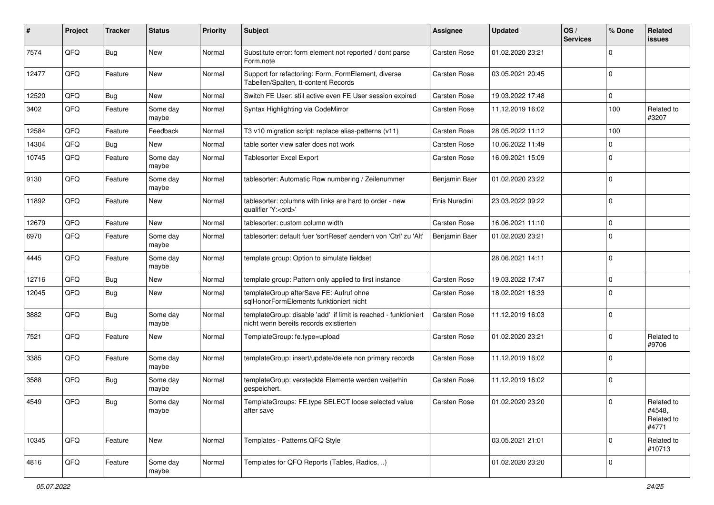| ∦     | Project | <b>Tracker</b> | <b>Status</b>     | <b>Priority</b> | Subject                                                                                                   | Assignee            | <b>Updated</b>   | OS/<br><b>Services</b> | % Done       | Related<br>issues                           |
|-------|---------|----------------|-------------------|-----------------|-----------------------------------------------------------------------------------------------------------|---------------------|------------------|------------------------|--------------|---------------------------------------------|
| 7574  | QFQ     | Bug            | New               | Normal          | Substitute error: form element not reported / dont parse<br>Form.note                                     | Carsten Rose        | 01.02.2020 23:21 |                        | <sup>0</sup> |                                             |
| 12477 | QFQ     | Feature        | New               | Normal          | Support for refactoring: Form, FormElement, diverse<br>Tabellen/Spalten, tt-content Records               | Carsten Rose        | 03.05.2021 20:45 |                        | $\Omega$     |                                             |
| 12520 | QFQ     | Bug            | New               | Normal          | Switch FE User: still active even FE User session expired                                                 | Carsten Rose        | 19.03.2022 17:48 |                        | 0            |                                             |
| 3402  | QFQ     | Feature        | Some day<br>maybe | Normal          | Syntax Highlighting via CodeMirror                                                                        | <b>Carsten Rose</b> | 11.12.2019 16:02 |                        | 100          | Related to<br>#3207                         |
| 12584 | QFQ     | Feature        | Feedback          | Normal          | T3 v10 migration script: replace alias-patterns (v11)                                                     | Carsten Rose        | 28.05.2022 11:12 |                        | 100          |                                             |
| 14304 | QFQ     | Bug            | <b>New</b>        | Normal          | table sorter view safer does not work                                                                     | Carsten Rose        | 10.06.2022 11:49 |                        | 0            |                                             |
| 10745 | QFQ     | Feature        | Some day<br>maybe | Normal          | Tablesorter Excel Export                                                                                  | <b>Carsten Rose</b> | 16.09.2021 15:09 |                        | $\Omega$     |                                             |
| 9130  | QFQ     | Feature        | Some day<br>maybe | Normal          | tablesorter: Automatic Row numbering / Zeilenummer                                                        | Benjamin Baer       | 01.02.2020 23:22 |                        | $\Omega$     |                                             |
| 11892 | QFQ     | Feature        | New               | Normal          | tablesorter: columns with links are hard to order - new<br>qualifier 'Y: <ord>'</ord>                     | Enis Nuredini       | 23.03.2022 09:22 |                        | $\Omega$     |                                             |
| 12679 | QFQ     | Feature        | New               | Normal          | tablesorter: custom column width                                                                          | Carsten Rose        | 16.06.2021 11:10 |                        | 0            |                                             |
| 6970  | QFQ     | Feature        | Some day<br>maybe | Normal          | tablesorter: default fuer 'sortReset' aendern von 'Ctrl' zu 'Alt'                                         | Benjamin Baer       | 01.02.2020 23:21 |                        | $\Omega$     |                                             |
| 4445  | QFQ     | Feature        | Some day<br>maybe | Normal          | template group: Option to simulate fieldset                                                               |                     | 28.06.2021 14:11 |                        | $\Omega$     |                                             |
| 12716 | QFQ     | Bug            | <b>New</b>        | Normal          | template group: Pattern only applied to first instance                                                    | Carsten Rose        | 19.03.2022 17:47 |                        | $\Omega$     |                                             |
| 12045 | QFQ     | Bug            | New               | Normal          | templateGroup afterSave FE: Aufruf ohne<br>sglHonorFormElements funktioniert nicht                        | Carsten Rose        | 18.02.2021 16:33 |                        | $\Omega$     |                                             |
| 3882  | QFQ     | <b>Bug</b>     | Some day<br>maybe | Normal          | templateGroup: disable 'add' if limit is reached - funktioniert<br>nicht wenn bereits records existierten | <b>Carsten Rose</b> | 11.12.2019 16:03 |                        | $\Omega$     |                                             |
| 7521  | QFQ     | Feature        | <b>New</b>        | Normal          | TemplateGroup: fe.type=upload                                                                             | Carsten Rose        | 01.02.2020 23:21 |                        | $\Omega$     | Related to<br>#9706                         |
| 3385  | QFQ     | Feature        | Some day<br>maybe | Normal          | templateGroup: insert/update/delete non primary records                                                   | <b>Carsten Rose</b> | 11.12.2019 16:02 |                        | $\Omega$     |                                             |
| 3588  | QFQ     | <b>Bug</b>     | Some day<br>maybe | Normal          | templateGroup: versteckte Elemente werden weiterhin<br>gespeichert.                                       | Carsten Rose        | 11.12.2019 16:02 |                        | $\Omega$     |                                             |
| 4549  | QFQ     | <b>Bug</b>     | Some day<br>maybe | Normal          | TemplateGroups: FE.type SELECT loose selected value<br>after save                                         | <b>Carsten Rose</b> | 01.02.2020 23:20 |                        | $\Omega$     | Related to<br>#4548,<br>Related to<br>#4771 |
| 10345 | QFQ     | Feature        | New               | Normal          | Templates - Patterns QFQ Style                                                                            |                     | 03.05.2021 21:01 |                        | $\Omega$     | Related to<br>#10713                        |
| 4816  | QFQ     | Feature        | Some day<br>maybe | Normal          | Templates for QFQ Reports (Tables, Radios, )                                                              |                     | 01.02.2020 23:20 |                        | 0            |                                             |